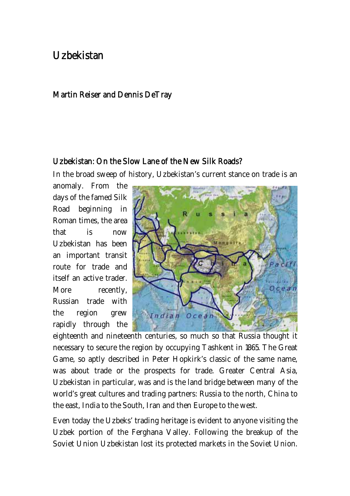# Uzbekistan

### Martin Reiser and Dennis DeTray

### Uzbekistan: On the Slow Lane of the New Silk Roads?

In the broad sweep of history, Uzbekistan's current stance on trade is an

anomaly. From the days of the famed Silk Road beginning in Roman times, the area that is now Uzbekistan has been an important transit route for trade and itself an active trader. More recently, Russian trade with the region grew rapidly through the



eighteenth and nineteenth centuries, so much so that Russia thought it necessary to secure the region by occupying Tashkent in 1865. The Great Game, so aptly described in Peter Hopkirk's classic of the same name, was about trade or the prospects for trade. Greater Central Asia, Uzbekistan in particular, was and is the land bridge between many of the world's great cultures and trading partners: Russia to the north, China to the east, India to the South, Iran and then Europe to the west.

Even today the Uzbeks' trading heritage is evident to anyone visiting the Uzbek portion of the Ferghana Valley. Following the breakup of the Soviet Union Uzbekistan lost its protected markets in the Soviet Union.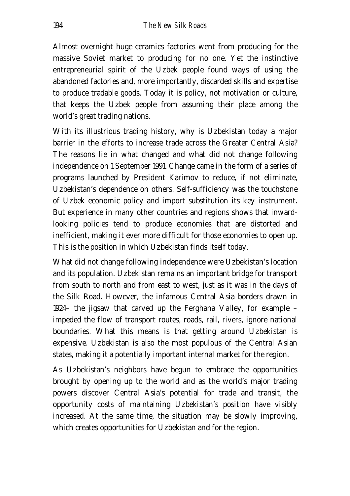Almost overnight huge ceramics factories went from producing for the massive Soviet market to producing for no one. Yet the instinctive entrepreneurial spirit of the Uzbek people found ways of using the abandoned factories and, more importantly, discarded skills and expertise to produce tradable goods. Today it is policy, not motivation or culture, that keeps the Uzbek people from assuming their place among the world's great trading nations.

With its illustrious trading history, why is Uzbekistan today a major barrier in the efforts to increase trade across the Greater Central Asia? The reasons lie in what changed and what did not change following independence on 1 September 1991. Change came in the form of a series of programs launched by President Karimov to reduce, if not eliminate, Uzbekistan's dependence on others. Self-sufficiency was the touchstone of Uzbek economic policy and import substitution its key instrument. But experience in many other countries and regions shows that inwardlooking policies tend to produce economies that are distorted and inefficient, making it ever more difficult for those economies to open up. This is the position in which Uzbekistan finds itself today.

What did not change following independence were Uzbekistan's location and its population. Uzbekistan remains an important bridge for transport from south to north and from east to west, just as it was in the days of the Silk Road. However, the infamous Central Asia borders drawn in 1924– the jigsaw that carved up the Ferghana Valley, for example – impeded the flow of transport routes, roads, rail, rivers, ignore national boundaries. What this means is that getting around Uzbekistan is expensive. Uzbekistan is also the most populous of the Central Asian states, making it a potentially important internal market for the region.

As Uzbekistan's neighbors have begun to embrace the opportunities brought by opening up to the world and as the world's major trading powers discover Central Asia's potential for trade and transit, the opportunity costs of maintaining Uzbekistan's position have visibly increased. At the same time, the situation may be slowly improving, which creates opportunities for Uzbekistan and for the region.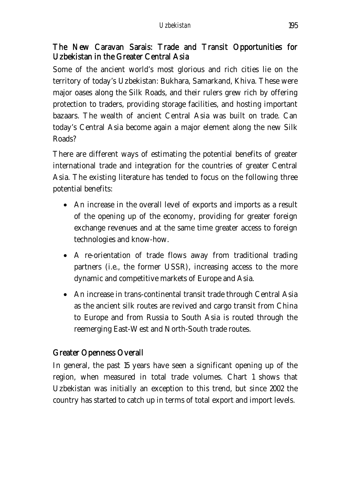### The New Caravan Sarais: Trade and Transit Opportunities for Uzbekistan in the Greater Central Asia

Some of the ancient world's most glorious and rich cities lie on the territory of today's Uzbekistan: Bukhara, Samarkand, Khiva. These were major oases along the Silk Roads, and their rulers grew rich by offering protection to traders, providing storage facilities, and hosting important bazaars. The wealth of ancient Central Asia was built on trade. Can today's Central Asia become again a major element along the new Silk Roads?

There are different ways of estimating the potential benefits of greater international trade and integration for the countries of greater Central Asia. The existing literature has tended to focus on the following three potential benefits:

- An increase in the overall level of exports and imports as a result of the opening up of the economy, providing for greater foreign exchange revenues and at the same time greater access to foreign technologies and know-how.
- A re-orientation of trade flows away from traditional trading partners (i.e., the former USSR), increasing access to the more dynamic and competitive markets of Europe and Asia.
- An increase in trans-continental transit trade through Central Asia as the ancient silk routes are revived and cargo transit from China to Europe and from Russia to South Asia is routed through the reemerging East-West and North-South trade routes.

# Greater Openness Overall

In general, the past 15 years have seen a significant opening up of the region, when measured in total trade volumes. Chart 1 shows that Uzbekistan was initially an exception to this trend, but since 2002 the country has started to catch up in terms of total export and import levels.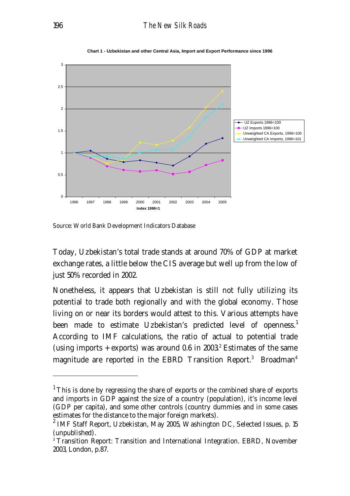

**Chart 1 - Uzbekistan and other Central Asia, Import and Export Performance since 1996**

Source: World Bank Development Indicators Database

Today, Uzbekistan's total trade stands at around 70% of GDP at market exchange rates, a little below the CIS average but well up from the low of just 50% recorded in 2002.

Nonetheless, it appears that Uzbekistan is still not fully utilizing its potential to trade both regionally and with the global economy. Those living on or near its borders would attest to this. Various attempts have been made to estimate Uzbekistan's predicted level of openness.<sup>1</sup> According to IMF calculations, the ratio of actual to potential trade (using imports + exports) was around 0.6 in 2003.<sup>2</sup> Estimates of the same magnitude are reported in the EBRD Transition Report.<sup>3</sup> Broadman<sup>4</sup>

 $1$  This is done by regressing the share of exports or the combined share of exports and imports in GDP against the size of a country (population), it's income level (GDP per capita), and some other controls (country dummies and in some cases estimates for the distance to the major foreign markets).<br><sup>2</sup> IMF Staff Report, Uzbekistan, May 2005, Washington DC, Selected Issues, p. 15

<sup>(</sup>unpublished).

<sup>3</sup> Transition Report: Transition and International Integration. EBRD, November 2003, London, p.87.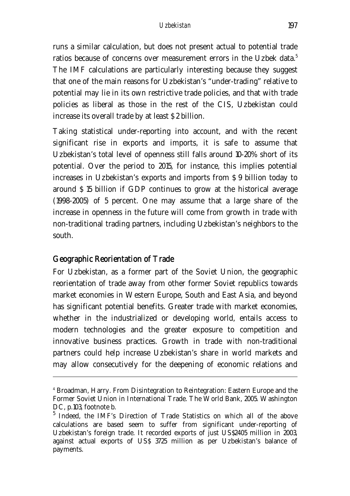runs a similar calculation, but does not present actual to potential trade ratios because of concerns over measurement errors in the Uzbek data.<sup>5</sup> The IMF calculations are particularly interesting because they suggest that one of the main reasons for Uzbekistan's "under-trading" relative to potential may lie in its own restrictive trade policies, and that with trade policies as liberal as those in the rest of the CIS, Uzbekistan could increase its overall trade by at least \$ 2 billion.

Taking statistical under-reporting into account, and with the recent significant rise in exports and imports, it is safe to assume that Uzbekistan's total level of openness still falls around 10-20% short of its potential. Over the period to 2015, for instance, this implies potential increases in Uzbekistan's exports and imports from \$ 9 billion today to around \$ 15 billion if GDP continues to grow at the historical average (1998-2005) of 5 percent. One may assume that a large share of the increase in openness in the future will come from growth in trade with non-traditional trading partners, including Uzbekistan's neighbors to the south.

### Geographic Reorientation of Trade

-

For Uzbekistan, as a former part of the Soviet Union, the geographic reorientation of trade away from other former Soviet republics towards market economies in Western Europe, South and East Asia, and beyond has significant potential benefits. Greater trade with market economies, whether in the industrialized or developing world, entails access to modern technologies and the greater exposure to competition and innovative business practices. Growth in trade with non-traditional partners could help increase Uzbekistan's share in world markets and may allow consecutively for the deepening of economic relations and

<sup>4</sup> Broadman, Harry. From Disintegration to Reintegration: Eastern Europe and the Former Soviet Union in International Trade. The World Bank, 2005. Washington DC, p.103, footnote b.

<sup>&</sup>lt;sup>5</sup> Indeed, the IMF's Direction of Trade Statistics on which all of the above calculations are based seem to suffer from significant under-reporting of Uzbekistan's foreign trade. It recorded exports of just US\$2405 million in 2003, against actual exports of US\$ 3725 million as per Uzbekistan's balance of payments.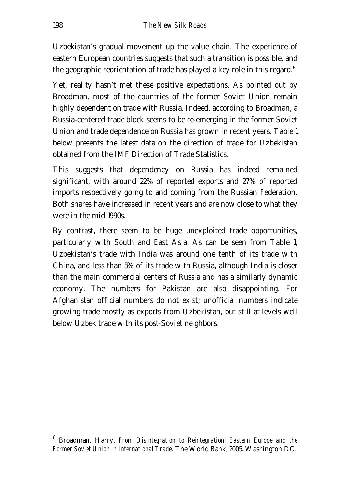Uzbekistan's gradual movement up the value chain. The experience of eastern European countries suggests that such a transition is possible, and the geographic reorientation of trade has played a key role in this regard. $^6$ 

Yet, reality hasn't met these positive expectations. As pointed out by Broadman, most of the countries of the former Soviet Union remain highly dependent on trade with Russia. Indeed, according to Broadman, a Russia-centered trade block seems to be re-emerging in the former Soviet Union and trade dependence on Russia has grown in recent years. Table 1 below presents the latest data on the direction of trade for Uzbekistan obtained from the IMF Direction of Trade Statistics.

This suggests that dependency on Russia has indeed remained significant, with around 22% of reported exports and 27% of reported imports respectively going to and coming from the Russian Federation. Both shares have increased in recent years and are now close to what they were in the mid 1990s.

By contrast, there seem to be huge unexploited trade opportunities, particularly with South and East Asia. As can be seen from Table 1, Uzbekistan's trade with India was around one tenth of its trade with China, and less than 5% of its trade with Russia, although India is closer than the main commercial centers of Russia and has a similarly dynamic economy. The numbers for Pakistan are also disappointing. For Afghanistan official numbers do not exist; unofficial numbers indicate growing trade mostly as exports from Uzbekistan, but still at levels well below Uzbek trade with its post-Soviet neighbors.

<sup>6</sup> Broadman, Harry. *From Disintegration to Reintegration: Eastern Europe and the Former Soviet Union in International Trade*. The World Bank, 2005. Washington DC.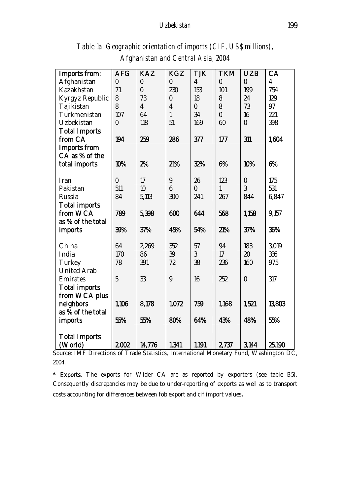| <b>Imports from:</b> | <b>AFG</b>     | <b>KAZ</b>       | <b>KGZ</b>     | <b>TJK</b>     | <b>TKM</b>   | <b>UZB</b>   | CA             |
|----------------------|----------------|------------------|----------------|----------------|--------------|--------------|----------------|
| Afghanistan          | $\bf{0}$       | $\boldsymbol{0}$ | $\mathbf{0}$   | $\overline{4}$ | $\mathbf{0}$ | $\mathbf{0}$ | $\overline{4}$ |
| Kazakhstan           | 71             | $\bf{0}$         | 230            | 153            | 101          | 199          | 754            |
| Kyrgyz Republic      | 8              | 73               | $\bf{0}$       | 18             | 8            | 24           | 129            |
| Tajikistan           | 8              | $\overline{4}$   | $\overline{4}$ | $\bf{0}$       | 8            | 73           | 97             |
| Turkmenistan         | 107            | 64               | $\mathbf{1}$   | 34             | $\mathbf{0}$ | 16           | 221            |
| Uzbekistan           | $\bf{0}$       | 118              | 51             | 169            | 60           | $\bf{0}$     | 398            |
| <b>Total Imports</b> |                |                  |                |                |              |              |                |
| from CA              | 194            | 259              | 286            | 377            | 177          | 311          | 1,604          |
| <b>Imports from</b>  |                |                  |                |                |              |              |                |
| CA as % of the       |                |                  |                |                |              |              |                |
| total imports        | 10%            | 2%               | 21%            | 32%            | 6%           | 10%          | 6%             |
|                      |                |                  |                |                |              |              |                |
| <b>Iran</b>          | $\bf{0}$       | 17               | 9              | 26             | 123          | $\bf{0}$     | 175            |
| Pakistan             | 511            | 10               | 6              | $\mathbf{0}$   | 1            | 3            | 531            |
| Russia               | 84             | 5,113            | 300            | 241            | 267          | 844          | 6,847          |
| <b>Total imports</b> |                |                  |                |                |              |              |                |
| from WCA             | 789            | 5,398            | 600            | 644            | 568          | 1,158        | 9,157          |
| as % of the total    |                |                  |                |                |              |              |                |
| imports              | 39%            | 37%              | 45%            | 54%            | 21%          | 37%          | 36%            |
|                      |                |                  |                |                |              |              |                |
| China                | 64             | 2,269            | 352            | 57             | 94           | 183          | 3,019          |
| India                | 170            | 86               | 39             | 3              | 17           | 20           | 336            |
| Turkey               | 78             | 391              | 72             | 38             | 236          | 160          | 975            |
| <b>United Arab</b>   |                |                  |                |                |              |              |                |
| <b>Emirates</b>      | $\overline{5}$ | 33               | 9              | 16             | 252          | $\bf{0}$     | 317            |
| <b>Total imports</b> |                |                  |                |                |              |              |                |
| from WCA plus        |                |                  |                |                |              |              |                |
| neighbors            | 1,106          | 8,178            | 1,072          | 759            | 1,168        | 1,521        | 13,803         |
| as % of the total    |                |                  |                |                |              |              |                |
| imports              | 55%            | 55%              | 80%            | 64%            | 43%          | 48%          | 55%            |
|                      |                |                  |                |                |              |              |                |
| <b>Total Imports</b> |                |                  |                |                |              |              |                |
| (World)              | 2,002          | 14,776           | 1,341          | 1,191          | 2,737        | 3,144        | 25,190         |

*Table 1a: Geographic orientation of imports (CIF, US\$ millions), Afghanistan and Central Asia, 2004* 

Source: IMF Directions of Trade Statistics, International Monetary Fund, Washington DC, 2004.

\* Exports. The exports for Wider CA are as reported by exporters (see table B5). Consequently discrepancies may be due to under-reporting of exports as well as to transport costs accounting for differences between fob export and cif import values.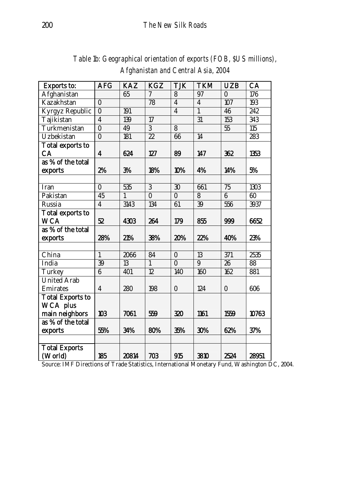| <b>Exports to:</b>      | <b>AFG</b>              | <b>KAZ</b> | <b>KGZ</b>      | <b>TJK</b>              | <b>TKM</b>      | <b>UZB</b>       | CA               |
|-------------------------|-------------------------|------------|-----------------|-------------------------|-----------------|------------------|------------------|
| Afghanistan             |                         | 65         |                 | 8                       | 97              | $\mathbf{0}$     | 176              |
| Kazakhstan              | $\bf{0}$                |            | 78              | $\overline{\mathbf{4}}$ | $\overline{4}$  | 107              | 193              |
| Kyrgyz Republic         | $\bf{0}$                | 191        |                 | $\overline{4}$          | $\mathbf{1}$    | 46               | 242              |
| Tajikistan              | $\overline{4}$          | 139        | $\overline{17}$ |                         | $\overline{31}$ | 153              | $\overline{343}$ |
| Turkmenistan            | $\bf{0}$                | 49         | 3               | 8                       |                 | 55               | 115              |
| <b>Uzbekistan</b>       | $\bf{0}$                | 181        | $\overline{22}$ | 66                      | 14              |                  | 283              |
| Total exports to        |                         |            |                 |                         |                 |                  |                  |
| CA                      | $\overline{\mathbf{4}}$ | 624        | 127             | 89                      | 147             | 362              | 1353             |
| as % of the total       |                         |            |                 |                         |                 |                  |                  |
| exports                 | 2%                      | 3%         | 18%             | 10%                     | 4%              | 14%              | 5%               |
|                         |                         |            |                 |                         |                 |                  |                  |
| Iran                    | $\mathbf{0}$            | 535        | $\overline{3}$  | $\overline{30}$         | 661             | $\overline{75}$  | 1303             |
| Pakistan                | 45                      | 1          | $\overline{0}$  | $\bf{0}$                | 8               | $\boldsymbol{6}$ | 60               |
| Russia                  | $\overline{4}$          | 3143       | 134             | 61                      | 39              | 556              | 3937             |
| Total exports to        |                         |            |                 |                         |                 |                  |                  |
| <b>WCA</b>              | 52                      | 4303       | 264             | 179                     | 855             | 999              | 6652             |
| as % of the total       |                         |            |                 |                         |                 |                  |                  |
| exports                 | 28%                     | 21%        | 38%             | 20%                     | 22%             | 40%              | 23%              |
|                         |                         |            |                 |                         |                 |                  |                  |
| China                   | $\mathbf{1}$            | 2066       | 84              | $\overline{0}$          | $\overline{13}$ | 371              | 2535             |
| India                   | 39                      | 13         | $\mathbf{1}$    | $\bf{0}$                | 9               | 26               | 88               |
| Turkey                  | 6                       | 401        | 12              | 140                     | 160             | 162              | 881              |
| <b>United Arab</b>      |                         |            |                 |                         |                 |                  |                  |
| <b>Emirates</b>         | $\overline{4}$          | 280        | 198             | $\boldsymbol{0}$        | 124             | $\boldsymbol{0}$ | 606              |
| <b>Total Exports to</b> |                         |            |                 |                         |                 |                  |                  |
| <b>WCA</b> plus         |                         |            |                 |                         |                 |                  |                  |
| main neighbors          | 103                     | 7061       | 559             | 320                     | 1161            | 1559             | 10763            |
| as % of the total       |                         |            |                 |                         |                 |                  |                  |
| exports                 | 55%                     | 34%        | 80%             | 35%                     | 30%             | 62%              | 37%              |
|                         |                         |            |                 |                         |                 |                  |                  |
| <b>Total Exports</b>    |                         |            |                 |                         |                 |                  |                  |
| (World)                 | 185                     | 20814      | 703             | 915                     | 3810            | 2524             | 28951            |

*Table 1b: Geographical orientation of exports (FOB, \$US millions), Afghanistan and Central Asia, 2004* 

Source: IMF Directions of Trade Statistics, International Monetary Fund, Washington DC, 2004.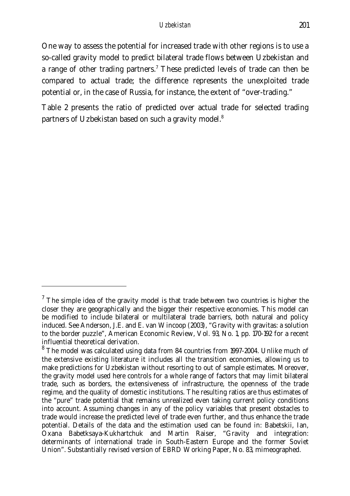One way to assess the potential for increased trade with other regions is to use a so-called gravity model to predict bilateral trade flows between Uzbekistan and a range of other trading partners.<sup>7</sup> These predicted levels of trade can then be compared to actual trade; the difference represents the unexploited trade potential or, in the case of Russia, for instance, the extent of "over-trading."

Table 2 presents the ratio of predicted over actual trade for selected trading partners of Uzbekistan based on such a gravity model. $^8$ 

 $^7$  The simple idea of the gravity model is that trade between two countries is higher the closer they are geographically and the bigger their respective economies. This model can be modified to include bilateral or multilateral trade barriers, both natural and policy induced. See Anderson, J.E. and E. van Wincoop (2003), "Gravity with gravitas: a solution to the border puzzle", American Economic Review, Vol. 93, No. 1, pp. 170-192 for a recent influential theoretical derivation.

 $^8$  The model was calculated using data from 84 countries from 1997-2004. Unlike much of the extensive existing literature it includes all the transition economies, allowing us to make predictions for Uzbekistan without resorting to out of sample estimates. Moreover, the gravity model used here controls for a whole range of factors that may limit bilateral trade, such as borders, the extensiveness of infrastructure, the openness of the trade regime, and the quality of domestic institutions. The resulting ratios are thus estimates of the "pure" trade potential that remains unrealized even taking current policy conditions into account. Assuming changes in any of the policy variables that present obstacles to trade would increase the predicted level of trade even further, and thus enhance the trade potential. Details of the data and the estimation used can be found in: Babetskii, Ian, Oxana Babetksaya-Kukhartchuk and Martin Raiser, "Gravity and integration: determinants of international trade in South-Eastern Europe and the former Soviet Union". Substantially revised version of EBRD Working Paper, No. 83, mimeographed.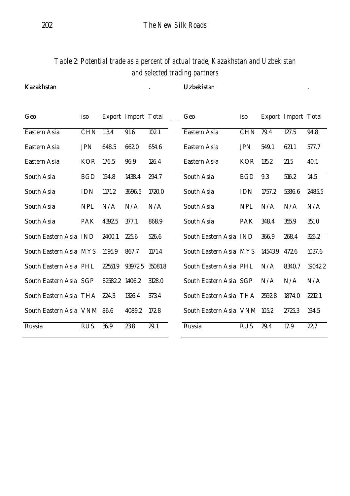# *Table 2: Potential trade as a percent of actual trade, Kazakhstan and Uzbekistan and selected trading partners*

#### Kazakhstan . Uzbekistan .

| Geo                         | iso        |                | Export Import Total |         | Geo                          | iso        |         | Export Import Total |         |
|-----------------------------|------------|----------------|---------------------|---------|------------------------------|------------|---------|---------------------|---------|
| Eastern Asia                | CHN 113.4  |                | 91.6                | 102.1   | Eastern Asia                 | <b>CHN</b> | 79.4    | 127.5               | 94.8    |
| Eastern Asia                | <b>JPN</b> | 648.5          | 662.0               | 654.6   | Eastern Asia                 | <b>JPN</b> | 549.1   | 621.1               | 577.7   |
| Eastern Asia                | <b>KOR</b> | 176.5          | 96.9                | 126.4   | Eastern Asia                 | <b>KOR</b> | 135.2   | 21.5                | 40.1    |
| South Asia                  | <b>BGD</b> | 194.8          | 1438.4              | 294.7   | South Asia                   | <b>BGD</b> | 9.3     | 516.2               | 14.5    |
| South Asia                  | <b>IDN</b> | 1171.2         | 3696.5              | 1720.0  | South Asia                   | <b>IDN</b> | 1757.2  | 5386.6              | 2485.5  |
| South Asia                  | <b>NPL</b> | N/A            | N/A                 | N/A     | South Asia                   | <b>NPL</b> | N/A     | N/A                 | N/A     |
| South Asia                  | <b>PAK</b> | 4392.5         | 377.1               | 868.9   | South Asia                   | <b>PAK</b> | 348.4   | 355.9               | 351.0   |
| South Eastern Asia IND      |            | 2400.1         | 225.6               | 526.6   | South Eastern Asia IND       |            | 366.9   | 268.4               | 326.2   |
| South Eastern Asia MYS      |            | 1695.9         | 867.7               | 1171.4  | South Eastern Asia MYS       |            | 14543.9 | 472.6               | 1037.6  |
| South Eastern Asia PHL      |            | 22551.9        | 93972.5             | 35081.8 | South Eastern Asia PHL       |            | N/A     | 8340.7              | 19042.2 |
| South Eastern Asia SGP      |            | 82582.2 1406.2 |                     | 3128.0  | South Eastern Asia SGP       |            | N/A     | N/A                 | N/A     |
| South Eastern Asia THA      |            | 224.3          | 1326.4              | 373.4   | South Eastern Asia THA       |            | 2592.8  | 1874.0              | 2212.1  |
| South Eastern Asia VNM 86.6 |            |                | 4089.2              | 172.8   | South Eastern Asia VNM 105.2 |            |         | 2725.3              | 194.5   |
| Russia                      | <b>RUS</b> | 36.9           | 23.8                | 29.1    | Russia                       | <b>RUS</b> | 29.4    | 17.9                | 22.7    |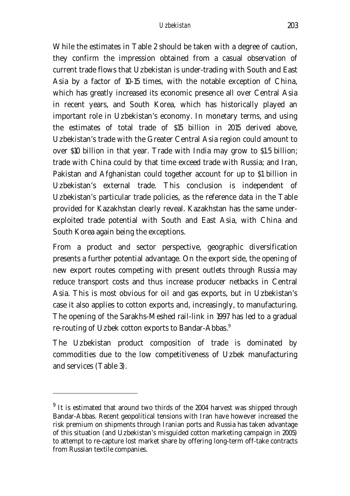While the estimates in Table 2 should be taken with a degree of caution, they confirm the impression obtained from a casual observation of current trade flows that Uzbekistan is under-trading with South and East Asia by a factor of 10-15 times, with the notable exception of China, which has greatly increased its economic presence all over Central Asia in recent years, and South Korea, which has historically played an important role in Uzbekistan's economy. In monetary terms, and using the estimates of total trade of \$15 billion in 2015 derived above, Uzbekistan's trade with the Greater Central Asia region could amount to over \$10 billion in that year. Trade with India may grow to \$1.5 billion; trade with China could by that time exceed trade with Russia; and Iran, Pakistan and Afghanistan could together account for up to \$1 billion in Uzbekistan's external trade. This conclusion is independent of Uzbekistan's particular trade policies, as the reference data in the Table provided for Kazakhstan clearly reveal. Kazakhstan has the same underexploited trade potential with South and East Asia, with China and South Korea again being the exceptions.

From a product and sector perspective, geographic diversification presents a further potential advantage. On the export side, the opening of new export routes competing with present outlets through Russia may reduce transport costs and thus increase producer netbacks in Central Asia. This is most obvious for oil and gas exports, but in Uzbekistan's case it also applies to cotton exports and, increasingly, to manufacturing. The opening of the Sarakhs-Meshed rail-link in 1997 has led to a gradual re-routing of Uzbek cotton exports to Bandar-Abbas. $^9$ 

The Uzbekistan product composition of trade is dominated by commodities due to the low competitiveness of Uzbek manufacturing and services (Table 3).

 $9$  It is estimated that around two thirds of the 2004 harvest was shipped through Bandar-Abbas. Recent geopolitical tensions with Iran have however increased the risk premium on shipments through Iranian ports and Russia has taken advantage of this situation (and Uzbekistan's misguided cotton marketing campaign in 2005) to attempt to re-capture lost market share by offering long-term off-take contracts from Russian textile companies.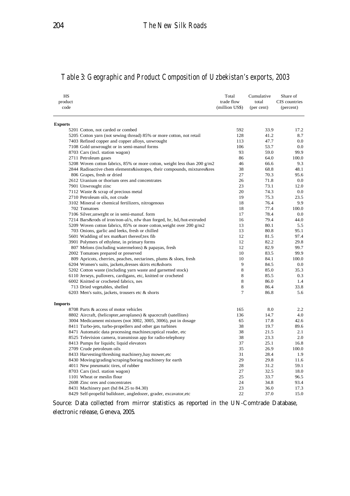| HS<br>product<br>code                                                      | Total<br>trade flow<br>(million US\$) | Cumulative<br>total<br>(per cent) | Share of<br>CIS countries<br>(percent) |
|----------------------------------------------------------------------------|---------------------------------------|-----------------------------------|----------------------------------------|
| <b>Exports</b>                                                             |                                       |                                   |                                        |
| 5201 Cotton, not carded or combed                                          | 592                                   | 33.9                              | 17.2                                   |
| 5205 Cotton yarn (not sewing thread) 85% or more cotton, not retail        | 128                                   | 41.2                              | 8.7                                    |
| 7403 Refined copper and copper alloys, unwrought                           | 113                                   | 47.7                              | 0.0                                    |
| 7108 Gold unwrought or in semi-manuf forms                                 | 106                                   | 53.7                              | 0.0                                    |
| 8703 Cars (incl. station wagon)                                            | 93                                    | 59.0                              | 99.9                                   |
| 2711 Petroleum gases                                                       | 86                                    | 64.0                              | 100.0                                  |
| 5208 Woven cotton fabrics, 85% or more cotton, weight less than 200 $g/m2$ | 46                                    | 66.6                              | 9.3                                    |
| 2844 Radioactive chem elements &isotopes, their compounds, mixtures &res   | 38                                    | 68.8                              | 48.1                                   |
| 806 Grapes, fresh or dried                                                 | 27                                    | 70.3                              | 95.6                                   |
| 2612 Uranium or thorium ores and concentrates                              | 26                                    | 71.8                              | 0.0                                    |
| 7901 Unwrought zinc                                                        | 23                                    | 73.1                              | 12.0                                   |
| 7112 Waste & scrap of precious metal                                       | 20                                    | 74.3                              | 0.0                                    |
| 2710 Petroleum oils, not crude                                             | 19                                    | 75.3                              | 23.5                                   |
| 3102 Mineral or chemical fertilizers, nitrogenous                          | 18                                    | 76.4                              | 9.9                                    |
| 702 Tomatoes                                                               | 18                                    | 77.4                              | 100.0                                  |
| 7106 Silver, unwrght or in semi-manuf. form                                | 17                                    | 78.4                              | 0.0                                    |
| 7214 Bars&rods of iron/non-al/s, nfw than forged, hr, hd,/hot-extruded     | 16                                    | 79.4                              | 44.0                                   |
| 5209 Woven cotton fabrics, 85% or more cotton, weight over 200 g/m2        | 13                                    | 80.1                              | 5.5                                    |
| 703 Onions, garlic and leeks, fresh or chilled                             | 13                                    | 80.8                              | 95.1                                   |
| 5601 Wadding of tex mat&art thereof; tex fib                               | 12                                    | 81.5                              | 97.4                                   |
| 3901 Polymers of ethylene, in primary forms                                | 12                                    | 82.2                              | 29.8                                   |
| 807 Melons (including watermelons) & papayas, fresh                        | 12                                    | 82.9                              | 99.7                                   |
| 2002 Tomatoes prepared or preserved                                        | 10                                    | 83.5                              | 99.9                                   |
| 809 Apricots, cherries, peaches, nectarines, plums & sloes, fresh          | 10                                    | 84.1                              | 100.0                                  |
| 6204 Women's suits, jackets, dresses skirts etc&shorts                     | 9                                     | 84.5                              | 0.0                                    |
| 5202 Cotton waste (including yarn waste and garnetted stock)               | 8                                     | 85.0                              | 35.3                                   |
| 6110 Jerseys, pullovers, cardigans, etc, knitted or crocheted              | 8                                     | 85.5                              | 0.3                                    |
| 6002 Knitted or crocheted fabrics, nes                                     | 8                                     | 86.0                              | 1.4                                    |
| 713 Dried vegetables, shelled                                              | 8                                     | 86.4                              | 33.8                                   |
| 6203 Men's suits, jackets, trousers etc & shorts                           | $\overline{7}$                        | 86.8                              | 5.6                                    |
| <b>Imports</b>                                                             |                                       |                                   |                                        |
| 8708 Parts & access of motor vehicles                                      | 165                                   | 8.0                               | 2.2                                    |
| 8802 Aircraft, (helicopter, aeroplanes) & spacecraft (satellites)          | 136                                   | 14.7                              | 4.0                                    |
| 3004 Medicament mixtures (not 3002, 3005, 3006), put in dosage             | 65                                    | 17.8                              | 42.6                                   |
| 8411 Turbo-jets, turbo-propellers and other gas turbines                   | 38                                    | 19.7                              | 89.6                                   |
| 8471 Automatic data processing machines; optical reader, etc.              | 38                                    | 21.5                              | 2.1                                    |
| 8525 Television camera, transmissn app for radio-telephony                 | 38                                    | 23.3                              | 2.0                                    |
| 8413 Pumps for liquids; liquid elevators                                   | 37                                    | 25.1                              | 16.8                                   |
| 2709 Crude petroleum oils                                                  | 35                                    | 26.9                              | 100.0                                  |
| 8433 Harvesting/threshing machinery, hay mower, etc                        | 31                                    | 28.4                              | 1.9                                    |
| 8430 Moving/grading/scraping/boring machinery for earth                    | 29                                    | 29.8                              | 11.6                                   |
| 4011 New pneumatic tires, of rubber                                        | 28                                    | 31.2                              | 59.1                                   |
| 8703 Cars (incl. station wagon)                                            | 27                                    | 32.5                              | 18.0                                   |
| 1101 Wheat or meslin flour                                                 | 25                                    | 33.7                              | 96.5                                   |
| 2608 Zinc ores and concentrates                                            | 24                                    | 34.8                              | 93.4                                   |
| 8431 Machinery part (hd 84.25 to 84.30)                                    | 23                                    | 36.0                              | 17.3                                   |
| 8429 Self-propelld bulldozer, angledozer, grader, excavator, etc           | 22                                    | 37.0                              | 15.0                                   |

# *Table 3: Geographic and Product Composition of Uzbekistan's exports, 2003*

Source: Data collected from mirror statistics as reported in the UN-Comtrade Database,

electronic release, Geneva, 2005.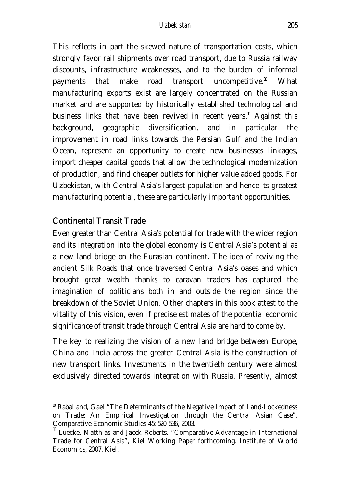This reflects in part the skewed nature of transportation costs, which strongly favor rail shipments over road transport, due to Russia railway discounts, infrastructure weaknesses, and to the burden of informal payments that make road transport uncompetitive.<sup>10</sup> What manufacturing exports exist are largely concentrated on the Russian market and are supported by historically established technological and business links that have been revived in recent years.<sup>11</sup> Against this background, geographic diversification, and in particular the improvement in road links towards the Persian Gulf and the Indian Ocean, represent an opportunity to create new businesses linkages, import cheaper capital goods that allow the technological modernization of production, and find cheaper outlets for higher value added goods. For Uzbekistan, with Central Asia's largest population and hence its greatest manufacturing potential, these are particularly important opportunities.

## Continental Transit Trade

 $\overline{a}$ 

Even greater than Central Asia's potential for trade with the wider region and its integration into the global economy is Central Asia's potential as a new land bridge on the Eurasian continent. The idea of reviving the ancient Silk Roads that once traversed Central Asia's oases and which brought great wealth thanks to caravan traders has captured the imagination of politicians both in and outside the region since the breakdown of the Soviet Union. Other chapters in this book attest to the vitality of this vision, even if precise estimates of the potential economic significance of transit trade through Central Asia are hard to come by.

The key to realizing the vision of a new land bridge between Europe, China and India across the greater Central Asia is the construction of new transport links. Investments in the twentieth century were almost exclusively directed towards integration with Russia. Presently, almost

<sup>&</sup>lt;sup>10</sup> Raballand, Gael "The Determinants of the Negative Impact of Land-Lockedness on Trade: An Empirical Investigation through the Central Asian Case". Comparative Economic Studies 45: 520-536, 2003.

<sup>&</sup>lt;sup>11</sup> Luecke, Matthias and Jacek Roberts. "Comparative Advantage in International Trade for Central Asia", Kiel Working Paper forthcoming. Institute of World Economics, 2007, Kiel.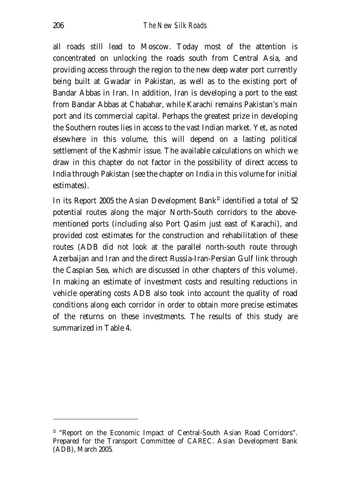all roads still lead to Moscow. Today most of the attention is concentrated on unlocking the roads south from Central Asia, and providing access through the region to the new deep water port currently being built at Gwadar in Pakistan, as well as to the existing port of Bandar Abbas in Iran. In addition, Iran is developing a port to the east from Bandar Abbas at Chabahar, while Karachi remains Pakistan's main port and its commercial capital. Perhaps the greatest prize in developing the Southern routes lies in access to the vast Indian market. Yet, as noted elsewhere in this volume, this will depend on a lasting political settlement of the Kashmir issue. The available calculations on which we draw in this chapter do not factor in the possibility of direct access to India through Pakistan (see the chapter on India in this volume for initial estimates).

In its Report 2005 the Asian Development Bank<sup>12</sup> identified a total of 52 potential routes along the major North-South corridors to the abovementioned ports (including also Port Qasim just east of Karachi), and provided cost estimates for the construction and rehabilitation of these routes (ADB did not look at the parallel north-south route through Azerbaijan and Iran and the direct Russia-Iran-Persian Gulf link through the Caspian Sea, which are discussed in other chapters of this volume). In making an estimate of investment costs and resulting reductions in vehicle operating costs ADB also took into account the quality of road conditions along each corridor in order to obtain more precise estimates of the returns on these investments. The results of this study are summarized in Table 4.

<sup>&</sup>lt;sup>12</sup> "Report on the Economic Impact of Central-South Asian Road Corridors". Prepared for the Transport Committee of CAREC. Asian Development Bank (ADB), March 2005.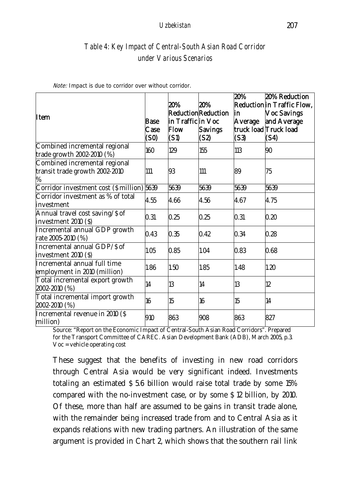#### *Uzbekistan* 207

### *Table 4: Key Impact of Central-South Asian Road Corridor under Various Scenarios*

| Item                                                                 | <b>Base</b><br>Case<br>(S0) | 20%<br>in Traffic in Voc<br>Flow<br>(S1) | 20%<br><b>ReductionReduction</b><br>Savings<br>(S2) | 20%<br>in<br>Average<br>(S3) | 20% Reduction<br>Reduction in Traffic Flow,<br><b>Voc Savings</b><br>and Average<br>truck load Truck load<br>(S4) |
|----------------------------------------------------------------------|-----------------------------|------------------------------------------|-----------------------------------------------------|------------------------------|-------------------------------------------------------------------------------------------------------------------|
| Combined incremental regional<br>trade growth 2002-2010 (%)          | 160                         | 129                                      | 155                                                 | 113                          | 90                                                                                                                |
| Combined incremental regional<br>transit trade growth 2002-2010<br>% | 111                         | 93                                       | 111                                                 | 89                           | 75                                                                                                                |
| Corridor investment cost (\$ million) 5639                           |                             | 5639                                     | 5639                                                | 5639                         | 5639                                                                                                              |
| Corridor investment as % of total<br>investment                      | 4.55                        | 4.66                                     | 4.56                                                | 4.67                         | 4.75                                                                                                              |
| Annual travel cost saving/\$ of<br>investment 2010 (\$)              | 0.31                        | 0.25                                     | 0.25                                                | 0.31                         | 0.20                                                                                                              |
| Incremental annual GDP growth<br>rate 2005-2010 (%)                  | 0.43                        | 0.35                                     | 0.42                                                | 0.34                         | 0.28                                                                                                              |
| Incremental annual GDP/\$ of<br>investment 2010 (\$)                 | 1.05                        | 0.85                                     | 1.04                                                | 0.83                         | 0.68                                                                                                              |
| Incremental annual full time<br>employment in 2010 (million)         | 1.86                        | 1.50                                     | 1.85                                                | 1.48                         | 1.20                                                                                                              |
| Total incremental export growth<br>2002-2010 (%)                     | 14                          | 13                                       | 14                                                  | 13                           | 12                                                                                                                |
| Total incremental import growth<br>2002-2010 (%)                     | 16                          | 15                                       | 16                                                  | 15                           | 14                                                                                                                |
| Incremental revenue in 2010 (\$<br>million)                          | 910                         | 863                                      | 908                                                 | 863                          | 827                                                                                                               |

Note: Impact is due to corridor over without corridor.

Source: "Report on the Economic Impact of Central-South Asian Road Corridors". Prepared for the Transport Committee of CAREC. Asian Development Bank (ADB), March 2005, p.3. Voc = vehicle operating cost

These suggest that the benefits of investing in new road corridors through Central Asia would be very significant indeed. Investments totaling an estimated \$ 5.6 billion would raise total trade by some 15% compared with the no-investment case, or by some \$ 12 billion, by 2010. Of these, more than half are assumed to be gains in transit trade alone, with the remainder being increased trade from and to Central Asia as it expands relations with new trading partners. An illustration of the same argument is provided in Chart 2, which shows that the southern rail link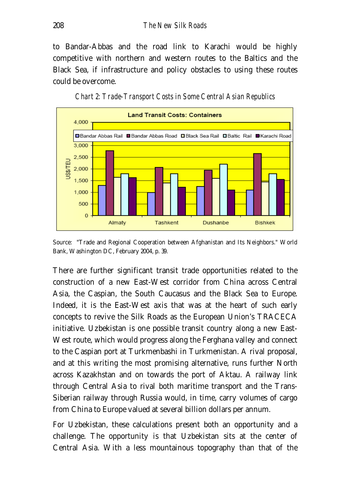to Bandar-Abbas and the road link to Karachi would be highly competitive with northern and western routes to the Baltics and the Black Sea, if infrastructure and policy obstacles to using these routes could be overcome.





Source: "Trade and Regional Cooperation between Afghanistan and Its Neighbors." World Bank, Washington DC, February 2004, p. 39.

There are further significant transit trade opportunities related to the construction of a new East-West corridor from China across Central Asia, the Caspian, the South Caucasus and the Black Sea to Europe. Indeed, it is the East-West axis that was at the heart of such early concepts to revive the Silk Roads as the European Union's TRACECA initiative. Uzbekistan is one possible transit country along a new East-West route, which would progress along the Ferghana valley and connect to the Caspian port at Turkmenbashi in Turkmenistan. A rival proposal, and at this writing the most promising alternative, runs further North across Kazakhstan and on towards the port of Aktau. A railway link through Central Asia to rival both maritime transport and the Trans-Siberian railway through Russia would, in time, carry volumes of cargo from China to Europe valued at several billion dollars per annum.

For Uzbekistan, these calculations present both an opportunity and a challenge. The opportunity is that Uzbekistan sits at the center of Central Asia. With a less mountainous topography than that of the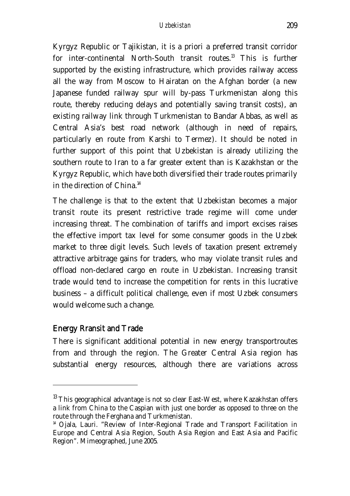Kyrgyz Republic or Tajikistan, it is a priori a preferred transit corridor for inter-continental North-South transit routes.<sup>13</sup> This is further supported by the existing infrastructure, which provides railway access all the way from Moscow to Hairatan on the Afghan border (a new Japanese funded railway spur will by-pass Turkmenistan along this route, thereby reducing delays and potentially saving transit costs), an existing railway link through Turkmenistan to Bandar Abbas, as well as Central Asia's best road network (although in need of repairs, particularly en route from Karshi to Termez). It should be noted in further support of this point that Uzbekistan is already utilizing the southern route to Iran to a far greater extent than is Kazakhstan or the Kyrgyz Republic, which have both diversified their trade routes primarily in the direction of China.<sup>14</sup>

The challenge is that to the extent that Uzbekistan becomes a major transit route its present restrictive trade regime will come under increasing threat. The combination of tariffs and import excises raises the effective import tax level for some consumer goods in the Uzbek market to three digit levels. Such levels of taxation present extremely attractive arbitrage gains for traders, who may violate transit rules and offload non-declared cargo en route in Uzbekistan. Increasing transit trade would tend to increase the competition for rents in this lucrative business – a difficult political challenge, even if most Uzbek consumers would welcome such a change.

### Energy Rransit and Trade

 $\overline{a}$ 

There is significant additional potential in new energy transportroutes from and through the region. The Greater Central Asia region has substantial energy resources, although there are variations across

 $13$  This geographical advantage is not so clear East-West, where Kazakhstan offers a link from China to the Caspian with just one border as opposed to three on the route through the Ferghana and Turkmenistan.

<sup>&</sup>lt;sup>14</sup> Ojala, Lauri. "Review of Inter-Regional Trade and Transport Facilitation in Europe and Central Asia Region, South Asia Region and East Asia and Pacific Region". Mimeographed, June 2005.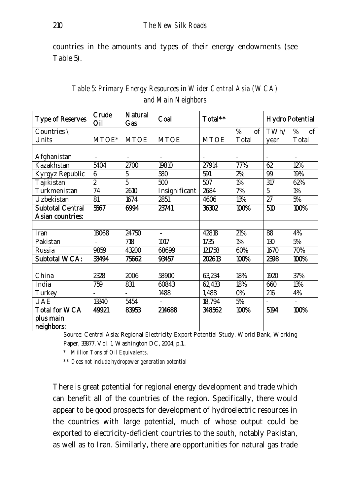countries in the amounts and types of their energy endowments (see Table 5).

| <b>Type of Reserves</b> | Crude<br>Oil    | <b>Natural</b><br>Gas    | Coal           | Total**                  |           |                | <b>Hydro Potential</b>   |
|-------------------------|-----------------|--------------------------|----------------|--------------------------|-----------|----------------|--------------------------|
| Countries \             |                 |                          |                |                          | %<br>of   | TWh/           | %<br>of                  |
| Units                   | $MTOE*$         | <b>MTOE</b>              | <b>MTOE</b>    | <b>MTOE</b>              | Total     | year           | Total                    |
|                         |                 |                          |                |                          |           |                |                          |
| Afghanistan             | $\blacksquare$  | $\overline{\phantom{0}}$ | $\blacksquare$ | $\overline{\phantom{a}}$ | $\bar{a}$ | $\blacksquare$ | $\overline{\phantom{a}}$ |
| Kazakhstan              | 5404            | 2700                     | 19810          | 27914                    | 77%       | 62             | 12%                      |
| <b>Kyrgyz Republic</b>  | $6\phantom{.}6$ | $\overline{5}$           | 580            | 591                      | 2%        | 99             | 19%                      |
| Tajikistan              | $\overline{2}$  | $\overline{5}$           | 500            | 507                      | 1%        | 317            | 62%                      |
| Turkmenistan            | 74              | 2610                     | Insignificant  | 2684                     | 7%        | $\overline{5}$ | 1%                       |
| Uzbekistan              | 81              | 1674                     | 2851           | 4606                     | 13%       | 27             | $5\%$                    |
| <b>Subtotal Central</b> | 5567            | 6994                     | 23741          | 36302                    | 100%      | 510            | 100%                     |
| <b>Asian countries:</b> |                 |                          |                |                          |           |                |                          |
|                         |                 |                          |                |                          |           |                |                          |
| Iran                    | 18068           | 24750                    | $\overline{a}$ | 42818                    | 21%       | 88             | 4%                       |
| Pakistan                |                 | 718                      | 1017           | 1735                     | 1%        | 130            | 5%                       |
| Russia                  | 9859            | 43200                    | 68699          | 121758                   | 60%       | 1670           | 70%                      |
| <b>Subtotal WCA:</b>    | 33494           | 75662                    | 93457          | 202613                   | 100%      | 2398           | 100%                     |
|                         |                 |                          |                |                          |           |                |                          |
| China                   | 2328            | 2006                     | 58900          | 63,234                   | 18%       | 1920           | 37%                      |
| India                   | 759             | 831                      | 60843          | 62,433                   | 18%       | 660            | 13%                      |
| Turkey                  |                 |                          | 1488           | 1,488                    | $0\%$     | 216            | 4%                       |
| <b>UAE</b>              | 13340           | 5454                     |                | 18,794                   | $5\%$     |                |                          |
| <b>Total for WCA</b>    | 49921           | 83953                    | 214688         | 348562                   | 100%      | 5194           | 100%                     |
| plus main               |                 |                          |                |                          |           |                |                          |
| neighbors:              |                 |                          |                |                          |           |                |                          |

# *Table 5: Primary Energy Resources in Wider Central Asia (WCA) and Main Neighbors*

Source: Central Asia: Regional Electricity Export Potential Study. World Bank, Working Paper, 33877, Vol. 1, Washington DC, 2004, p.1..

*\* Million Tons of Oil Equivalents.* 

*\*\* Does not include hydropower generation potential* 

There is great potential for regional energy development and trade which can benefit all of the countries of the region. Specifically, there would appear to be good prospects for development of hydroelectric resources in the countries with large potential, much of whose output could be exported to electricity-deficient countries to the south, notably Pakistan, as well as to Iran. Similarly, there are opportunities for natural gas trade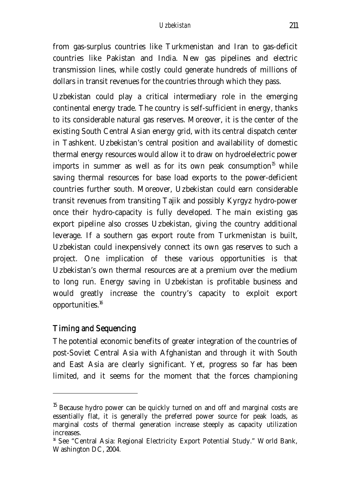from gas-surplus countries like Turkmenistan and Iran to gas-deficit countries like Pakistan and India. New gas pipelines and electric transmission lines, while costly could generate hundreds of millions of dollars in transit revenues for the countries through which they pass.

Uzbekistan could play a critical intermediary role in the emerging continental energy trade. The country is self-sufficient in energy, thanks to its considerable natural gas reserves. Moreover, it is the center of the existing South Central Asian energy grid, with its central dispatch center in Tashkent. Uzbekistan's central position and availability of domestic thermal energy resources would allow it to draw on hydroelelectric power imports in summer as well as for its own peak consumption<sup>15</sup> while saving thermal resources for base load exports to the power-deficient countries further south. Moreover, Uzbekistan could earn considerable transit revenues from transiting Tajik and possibly Kyrgyz hydro-power once their hydro-capacity is fully developed. The main existing gas export pipeline also crosses Uzbekistan, giving the country additional leverage. If a southern gas export route from Turkmenistan is built, Uzbekistan could inexpensively connect its own gas reserves to such a project. One implication of these various opportunities is that Uzbekistan's own thermal resources are at a premium over the medium to long run. Energy saving in Uzbekistan is profitable business and would greatly increase the country's capacity to exploit export opportunities.16

# Timing and Sequencing

 $\overline{a}$ 

The potential economic benefits of greater integration of the countries of post-Soviet Central Asia with Afghanistan and through it with South and East Asia are clearly significant. Yet, progress so far has been limited, and it seems for the moment that the forces championing

<sup>&</sup>lt;sup>15</sup> Because hydro power can be quickly turned on and off and marginal costs are essentially flat, it is generally the preferred power source for peak loads, as marginal costs of thermal generation increase steeply as capacity utilization increases.

<sup>&</sup>lt;sup>16</sup> See "Central Asia: Regional Electricity Export Potential Study." World Bank, Washington DC, 2004.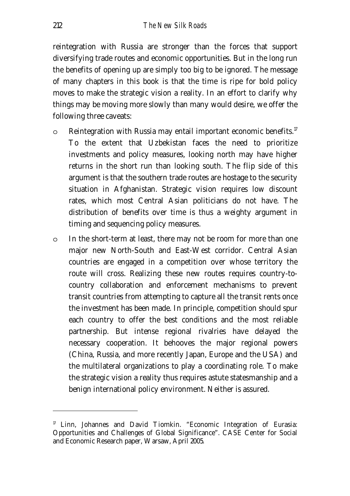reintegration with Russia are stronger than the forces that support diversifying trade routes and economic opportunities. But in the long run the benefits of opening up are simply too big to be ignored. The message of many chapters in this book is that the time is ripe for bold policy moves to make the strategic vision a reality. In an effort to clarify why things may be moving more slowly than many would desire, we offer the following three caveats:

- o Reintegration with Russia may entail important economic benefits.<sup>17</sup> To the extent that Uzbekistan faces the need to prioritize investments and policy measures, looking north may have higher returns in the short run than looking south. The flip side of this argument is that the southern trade routes are hostage to the security situation in Afghanistan. Strategic vision requires low discount rates, which most Central Asian politicians do not have. The distribution of benefits over time is thus a weighty argument in timing and sequencing policy measures.
- o In the short-term at least, there may not be room for more than one major new North-South and East-West corridor. Central Asian countries are engaged in a competition over whose territory the route will cross. Realizing these new routes requires country-tocountry collaboration and enforcement mechanisms to prevent transit countries from attempting to capture all the transit rents once the investment has been made. In principle, competition should spur each country to offer the best conditions and the most reliable partnership. But intense regional rivalries have delayed the necessary cooperation. It behooves the major regional powers (China, Russia, and more recently Japan, Europe and the USA) and the multilateral organizations to play a coordinating role. To make the strategic vision a reality thus requires astute statesmanship and a benign international policy environment. Neither is assured.

<sup>&</sup>lt;sup>17</sup> Linn, Johannes and David Tiomkin. "Economic Integration of Eurasia: Opportunities and Challenges of Global Significance". CASE Center for Social and Economic Research paper, Warsaw, April 2005.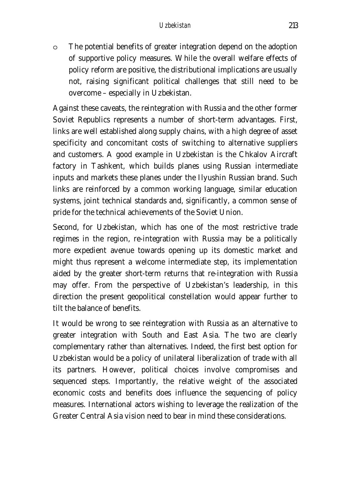o The potential benefits of greater integration depend on the adoption of supportive policy measures. While the overall welfare effects of policy reform are positive, the distributional implications are usually not, raising significant political challenges that still need to be overcome – especially in Uzbekistan.

Against these caveats, the reintegration with Russia and the other former Soviet Republics represents a number of short-term advantages. First, links are well established along supply chains, with a high degree of asset specificity and concomitant costs of switching to alternative suppliers and customers. A good example in Uzbekistan is the Chkalov Aircraft factory in Tashkent, which builds planes using Russian intermediate inputs and markets these planes under the Ilyushin Russian brand. Such links are reinforced by a common working language, similar education systems, joint technical standards and, significantly, a common sense of pride for the technical achievements of the Soviet Union.

Second, for Uzbekistan, which has one of the most restrictive trade regimes in the region, re-integration with Russia may be a politically more expedient avenue towards opening up its domestic market and might thus represent a welcome intermediate step, its implementation aided by the greater short-term returns that re-integration with Russia may offer. From the perspective of Uzbekistan's leadership, in this direction the present geopolitical constellation would appear further to tilt the balance of benefits.

It would be wrong to see reintegration with Russia as an alternative to greater integration with South and East Asia. The two are clearly complementary rather than alternatives. Indeed, the first best option for Uzbekistan would be a policy of unilateral liberalization of trade with all its partners. However, political choices involve compromises and sequenced steps. Importantly, the relative weight of the associated economic costs and benefits does influence the sequencing of policy measures. International actors wishing to leverage the realization of the Greater Central Asia vision need to bear in mind these considerations.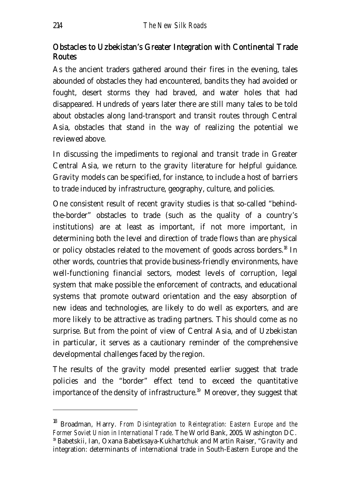## Obstacles to Uzbekistan's Greater Integration with Continental Trade Routes

As the ancient traders gathered around their fires in the evening, tales abounded of obstacles they had encountered, bandits they had avoided or fought, desert storms they had braved, and water holes that had disappeared. Hundreds of years later there are still many tales to be told about obstacles along land-transport and transit routes through Central Asia, obstacles that stand in the way of realizing the potential we reviewed above.

In discussing the impediments to regional and transit trade in Greater Central Asia, we return to the gravity literature for helpful guidance. Gravity models can be specified, for instance, to include a host of barriers to trade induced by infrastructure, geography, culture, and policies.

One consistent result of recent gravity studies is that so-called "behindthe-border" obstacles to trade (such as the quality of a country's institutions) are at least as important, if not more important, in determining both the level and direction of trade flows than are physical or policy obstacles related to the movement of goods across borders.<sup>18</sup> In other words, countries that provide business-friendly environments, have well-functioning financial sectors, modest levels of corruption, legal system that make possible the enforcement of contracts, and educational systems that promote outward orientation and the easy absorption of new ideas and technologies, are likely to do well as exporters, and are more likely to be attractive as trading partners. This should come as no surprise. But from the point of view of Central Asia, and of Uzbekistan in particular, it serves as a cautionary reminder of the comprehensive developmental challenges faced by the region.

The results of the gravity model presented earlier suggest that trade policies and the "border" effect tend to exceed the quantitative importance of the density of infrastructure.<sup>19</sup> Moreover, they suggest that

<sup>18</sup> Broadman, Harry. *From Disintegration to Reintegration: Eastern Europe and the Former Soviet Union in International Trade*. The World Bank, 2005. Washington DC. <sup>19</sup> Babetskii, Ian, Oxana Babetksaya-Kukhartchuk and Martin Raiser, "Gravity and integration: determinants of international trade in South-Eastern Europe and the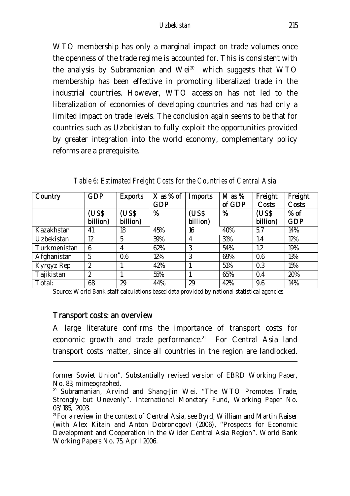WTO membership has only a marginal impact on trade volumes once the openness of the trade regime is accounted for. This is consistent with the analysis by Subramanian and Wei $^{20}$  which suggests that WTO membership has been effective in promoting liberalized trade in the industrial countries. However, WTO accession has not led to the liberalization of economies of developing countries and has had only a limited impact on trade levels. The conclusion again seems to be that for countries such as Uzbekistan to fully exploit the opportunities provided by greater integration into the world economy, complementary policy reforms are a prerequisite.

| Country      | <b>GDP</b>     | <b>Exports</b> | $X$ as % of | <b>Imports</b> | M as % | Freight  | Freight      |
|--------------|----------------|----------------|-------------|----------------|--------|----------|--------------|
|              |                |                | <b>GDP</b>  |                | of GDP | Costs    | <b>Costs</b> |
|              | (US\$          | (US\$          | %           | (US\$          | %      | (US\$    | % of         |
|              | billion)       | billion)       |             | billion)       |        | billion) | <b>GDP</b>   |
| Kazakhstan   | 41             | 18             | 45%         | 16             | 40%    | 5.7      | 14%          |
| Uzbekistan   | 12             | $\overline{5}$ | 39%         | 4              | 31%    | 1.4      | 12%          |
| Turkmenistan | 6              | 4              | 62%         | 3              | 54%    | 1.2      | 19%          |
| Afghanistan  | 5              | 0.6            | 12%         | 3              | 69%    | 0.6      | 13%          |
| Kyrgyz Rep   | $\overline{2}$ |                | 42%         |                | 51%    | 0.3      | 15%          |
| Tajikistan   | $\overline{2}$ |                | 55%         |                | 65%    | 0.4      | 20%          |
| Total:       | 68             | 29             | 44%         | 29             | 42%    | 9.6      | 14%          |

*Table 6: Estimated Freight Costs for the Countries of Central Asia* 

Source: World Bank staff calculations based data provided by national statistical agencies.

### Transport costs: an overview

-

A large literature confirms the importance of transport costs for economic growth and trade performance.<sup>21</sup> For Central Asia land transport costs matter, since all countries in the region are landlocked.

former Soviet Union". Substantially revised version of EBRD Working Paper, No. 83, mimeographed.

<sup>20</sup> Subramanian, Arvind and Shang-Jin Wei. "The WTO Promotes Trade, Strongly but Unevenly". International Monetary Fund, Working Paper No. 03/185, 2003.

<sup>&</sup>lt;sup>21</sup> For a review in the context of Central Asia, see Byrd, William and Martin Raiser (with Alex Kitain and Anton Dobronogov) (2006), "Prospects for Economic Development and Cooperation in the Wider Central Asia Region". World Bank Working Papers No. 75, April 2006.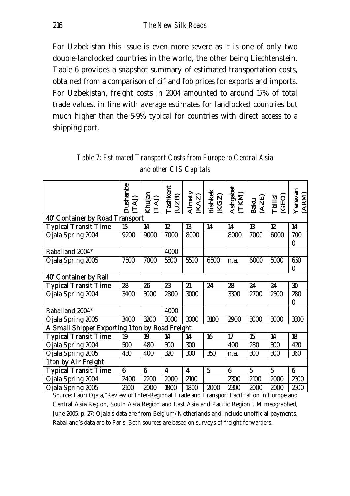For Uzbekistan this issue is even more severe as it is one of only two double-landlocked countries in the world, the other being Liechtenstein. Table 6 provides a snapshot summary of estimated transportation costs, obtained from a comparison of cif and fob prices for exports and imports. For Uzbekistan, freight costs in 2004 amounted to around 17% of total trade values, in line with average estimates for landlocked countries but much higher than the 5-9% typical for countries with direct access to a shipping port.

### *Table 7: Estimated Transport Costs from Europe to Central Asia and other CIS Capitals*

|                                                 | Jushanbe<br>(LAT) | Khujan<br>(TAJ) | Tashkent<br>(UZB)       | $\frac{\overline{A} \text{maty}}{(KAD)}$ | Bishkek<br>(KGZ) | Ashgabat<br>(TKM) | Baku<br>(AZE)   | Tbilisi<br>(GEO) | Yerevan<br>(ARM)        |
|-------------------------------------------------|-------------------|-----------------|-------------------------|------------------------------------------|------------------|-------------------|-----------------|------------------|-------------------------|
| 40' Container by Road Transport                 |                   |                 |                         |                                          |                  |                   |                 |                  |                         |
| <b>Typical Transit Time</b>                     | 15                | 14              | 12                      | 13                                       | 14               | 14                | 13              | 12               | 14                      |
| Ojala Spring 2004                               | 9200              | 9000            | 7000                    | 8000                                     |                  | 8000              | 7000            | 6000             | 700<br>$\bf{0}$         |
| Raballand 2004*                                 |                   |                 | 4000                    |                                          |                  |                   |                 |                  |                         |
| Ojala Spring 2005                               | 7500              | 7000            | 5500                    | 5500                                     | 6500             | n.a.              | 6000            | 5000             | 650<br>$\boldsymbol{0}$ |
| 40' Container by Rail                           |                   |                 |                         |                                          |                  |                   |                 |                  |                         |
| <b>Typical Transit Time</b>                     | 28                | 26              | 23                      | 21                                       | 24               | 28                | 24              | 24               | 30                      |
| Ojala Spring 2004                               | 3400              | 3000            | 2800                    | 3000                                     |                  | 3300              | 2700            | 2500             | 280<br>$\bf{0}$         |
| Raballand 2004*                                 |                   |                 | 4000                    |                                          |                  |                   |                 |                  |                         |
| Ojala Spring 2005                               | 3400              | 3200            | 3000                    | 3000                                     | 3100             | 2900              | 3000            | 3000             | 3300                    |
| A Small Shipper Exporting 1 ton by Road Freight |                   |                 |                         |                                          |                  |                   |                 |                  |                         |
| <b>Typical Transit Time</b>                     | 19                | 19              | 14                      | 14                                       | 16               | 17                | 15              | 14               | 18                      |
| Ojala Spring 2004                               | 500               | 480             | 300                     | 300                                      |                  | 400               | 280             | 300              | 420                     |
| Ojala Spring 2005                               | 430               | 400             | 320                     | 300                                      | 350              | n.a.              | 300             | 300              | 360                     |
| 1 ton by Air Freight                            |                   |                 |                         |                                          |                  |                   |                 |                  |                         |
| <b>Typical Transit Time</b>                     | 6                 | $6\phantom{1}$  | $\overline{\mathbf{4}}$ | $\overline{\mathbf{4}}$                  | $5\phantom{.0}$  | $6\phantom{1}6$   | $5\phantom{.0}$ | $5\phantom{1}$   | 6                       |
| Ojala Spring 2004                               | 2400              | 2200            | 2000                    | 2100                                     |                  | 2300              | 2100            | 2000             | 2300                    |
| Ojala Spring 2005                               | 2100              | 2000            | 1800                    | 1800                                     | 2000             | 2300              | 2000            | 2000             | 2300                    |

Source: Lauri Ojala,"Review of Inter-Regional Trade and Transport Facilitation in Europe and Central Asia Region, South Asia Region and East Asia and Pacific Region". Mimeographed, June 2005, p. 27; Ojala's data are from Belgium/Netherlands and include unofficial payments. Raballand's data are to Paris. Both sources are based on surveys of freight forwarders.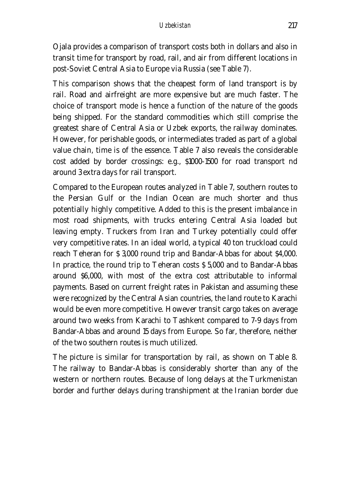Ojala provides a comparison of transport costs both in dollars and also in transit time for transport by road, rail, and air from different locations in post-Soviet Central Asia to Europe via Russia (see Table 7).

This comparison shows that the cheapest form of land transport is by rail. Road and airfreight are more expensive but are much faster. The choice of transport mode is hence a function of the nature of the goods being shipped. For the standard commodities which still comprise the greatest share of Central Asia or Uzbek exports, the railway dominates. However, for perishable goods, or intermediates traded as part of a global value chain, time is of the essence. Table 7 also reveals the considerable cost added by border crossings: e.g., \$1000-1500 for road transport nd around 3 extra days for rail transport.

Compared to the European routes analyzed in Table 7, southern routes to the Persian Gulf or the Indian Ocean are much shorter and thus potentially highly competitive. Added to this is the present imbalance in most road shipments, with trucks entering Central Asia loaded but leaving empty. Truckers from Iran and Turkey potentially could offer very competitive rates. In an ideal world, a typical 40 ton truckload could reach Teheran for \$ 3,000 round trip and Bandar-Abbas for about \$4,000. In practice, the round trip to Teheran costs \$ 5,000 and to Bandar-Abbas around \$6,000, with most of the extra cost attributable to informal payments. Based on current freight rates in Pakistan and assuming these were recognized by the Central Asian countries, the land route to Karachi would be even more competitive. However transit cargo takes on average around two weeks from Karachi to Tashkent compared to 7-9 days from Bandar-Abbas and around 15 days from Europe. So far, therefore, neither of the two southern routes is much utilized.

The picture is similar for transportation by rail, as shown on Table 8. The railway to Bandar-Abbas is considerably shorter than any of the western or northern routes. Because of long delays at the Turkmenistan border and further delays during transhipment at the Iranian border due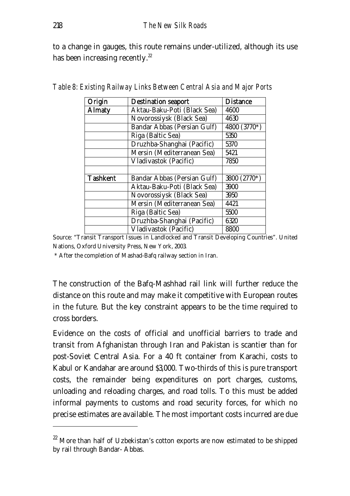to a change in gauges, this route remains under-utilized, although its use has been increasing recently.<sup>22</sup>

| Origin          | <b>Destination seaport</b>  | <b>Distance</b> |
|-----------------|-----------------------------|-----------------|
| <b>Almaty</b>   | Aktau-Baku-Poti (Black Sea) | 4600            |
|                 | Novorossiysk (Black Sea)    | 4630            |
|                 | Bandar Abbas (Persian Gulf) | 4800 (3770*)    |
|                 | Riga (Baltic Sea)           | 5350            |
|                 | Druzhba-Shanghai (Pacific)  | 5370            |
|                 | Mersin (Mediterranean Sea)  | 5421            |
|                 | Vladivastok (Pacific)       | 7850            |
|                 |                             |                 |
| <b>Tashkent</b> | Bandar Abbas (Persian Gulf) | 3800 (2770*)    |
|                 | Aktau-Baku-Poti (Black Sea) | 3900            |
|                 | Novorossiysk (Black Sea)    | 3950            |
|                 | Mersin (Mediterranean Sea)  | 4421            |
|                 | Riga (Baltic Sea)           | 5500            |
|                 | Druzhba-Shanghai (Pacific)  | 6320            |
|                 | Vladivastok (Pacific)       | 8800            |

*Table 8: Existing Railway Links Between Central Asia and Major Ports*

Source: "Transit Transport Issues in Landlocked and Transit Developing Countries". United Nations, Oxford University Press, New York, 2003.

\* After the completion of Mashad-Bafq railway section in Iran.

The construction of the Bafq-Mashhad rail link will further reduce the distance on this route and may make it competitive with European routes in the future. But the key constraint appears to be the time required to cross borders.

Evidence on the costs of official and unofficial barriers to trade and transit from Afghanistan through Iran and Pakistan is scantier than for post-Soviet Central Asia. For a 40 ft container from Karachi, costs to Kabul or Kandahar are around \$3,000. Two-thirds of this is pure transport costs, the remainder being expenditures on port charges, customs, unloading and reloading charges, and road tolls. To this must be added informal payments to customs and road security forces, for which no precise estimates are available. The most important costs incurred are due

<sup>&</sup>lt;sup>22</sup> More than half of Uzbekistan's cotton exports are now estimated to be shipped by rail through Bandar- Abbas.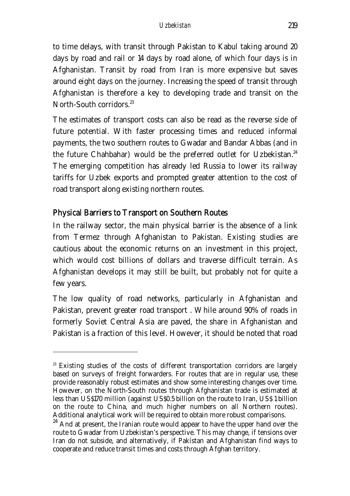to time delays, with transit through Pakistan to Kabul taking around 20 days by road and rail or 14 days by road alone, of which four days is in Afghanistan. Transit by road from Iran is more expensive but saves around eight days on the journey. Increasing the speed of transit through Afghanistan is therefore a key to developing trade and transit on the North-South corridors.<sup>23</sup>

The estimates of transport costs can also be read as the reverse side of future potential. With faster processing times and reduced informal payments, the two southern routes to Gwadar and Bandar Abbas (and in the future Chahbahar) would be the preferred outlet for Uzbekistan.<sup>24</sup> The emerging competition has already led Russia to lower its railway tariffs for Uzbek exports and prompted greater attention to the cost of road transport along existing northern routes.

### Physical Barriers to Transport on Southern Routes

 $\overline{a}$ 

In the railway sector, the main physical barrier is the absence of a link from Termez through Afghanistan to Pakistan. Existing studies are cautious about the economic returns on an investment in this project, which would cost billions of dollars and traverse difficult terrain. As Afghanistan develops it may still be built, but probably not for quite a few years.

The low quality of road networks, particularly in Afghanistan and Pakistan, prevent greater road transport . While around 90% of roads in formerly Soviet Central Asia are paved, the share in Afghanistan and Pakistan is a fraction of this level. However, it should be noted that road

 $23$  Existing studies of the costs of different transportation corridors are largely based on surveys of freight forwarders. For routes that are in regular use, these provide reasonably robust estimates and show some interesting changes over time. However, on the North-South routes through Afghanistan trade is estimated at less than US\$170 million (against US\$0.5 billion on the route to Iran, US\$ 1 billion on the route to China, and much higher numbers on all Northern routes). Additional analytical work will be required to obtain more robust comparisons. 24 And at present, the Iranian route would appear to have the upper hand over the

route to Gwadar from Uzbekistan's perspective. This may change, if tensions over Iran do not subside, and alternatively, if Pakistan and Afghanistan find ways to cooperate and reduce transit times and costs through Afghan territory.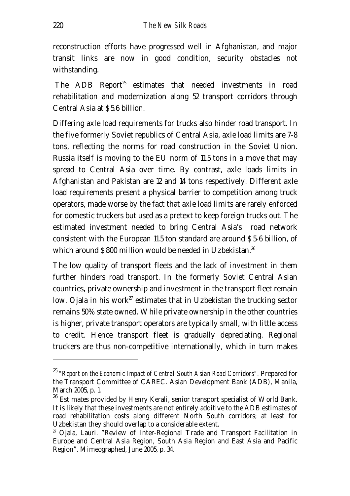reconstruction efforts have progressed well in Afghanistan, and major transit links are now in good condition, security obstacles not withstanding.

The  $ADB$   $Report<sup>25</sup>$  estimates that needed investments in road rehabilitation and modernization along 52 transport corridors through Central Asia at \$ 5.6 billion.

Differing axle load requirements for trucks also hinder road transport. In the five formerly Soviet republics of Central Asia, axle load limits are 7-8 tons, reflecting the norms for road construction in the Soviet Union. Russia itself is moving to the EU norm of 11.5 tons in a move that may spread to Central Asia over time. By contrast, axle loads limits in Afghanistan and Pakistan are 12 and 14 tons respectively. Different axle load requirements present a physical barrier to competition among truck operators, made worse by the fact that axle load limits are rarely enforced for domestic truckers but used as a pretext to keep foreign trucks out. The estimated investment needed to bring Central Asia's road network consistent with the European 11.5 ton standard are around \$ 5-6 billion, of which around \$800 million would be needed in Uzbekistan.<sup>26</sup>

The low quality of transport fleets and the lack of investment in them further hinders road transport. In the formerly Soviet Central Asian countries, private ownership and investment in the transport fleet remain low. Ojala in his work<sup>27</sup> estimates that in Uzbekistan the trucking sector remains 50% state owned. While private ownership in the other countries is higher, private transport operators are typically small, with little access to credit. Hence transport fleet is gradually depreciating. Regional truckers are thus non-competitive internationally, which in turn makes

<sup>25</sup> *"Report on the Economic Impact of Central-South Asian Road Corridors".* Prepared for the Transport Committee of CAREC. Asian Development Bank (ADB), Manila, March 2005, p. 1.

<sup>&</sup>lt;sup>26</sup> Estimates provided by Henry Kerali, senior transport specialist of World Bank. It is likely that these investments are not entirely additive to the ADB estimates of road rehabilitation costs along different North South corridors; at least for Uzbekistan they should overlap to a considerable extent.

 $27$  Ojala, Lauri. "Review of Inter-Regional Trade and Transport Facilitation in Europe and Central Asia Region, South Asia Region and East Asia and Pacific Region". Mimeographed, June 2005, p. 34.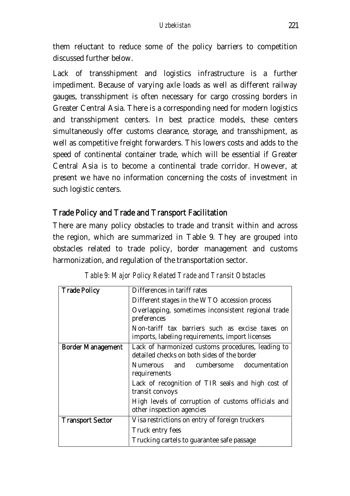them reluctant to reduce some of the policy barriers to competition discussed further below.

Lack of transshipment and logistics infrastructure is a further impediment. Because of varying axle loads as well as different railway gauges, transshipment is often necessary for cargo crossing borders in Greater Central Asia. There is a corresponding need for modern logistics and transshipment centers. In best practice models, these centers simultaneously offer customs clearance, storage, and transshipment, as well as competitive freight forwarders. This lowers costs and adds to the speed of continental container trade, which will be essential if Greater Central Asia is to become a continental trade corridor. However, at present we have no information concerning the costs of investment in such logistic centers.

## Trade Policy and Trade and Transport Facilitation

There are many policy obstacles to trade and transit within and across the region, which are summarized in Table 9. They are grouped into obstacles related to trade policy, border management and customs harmonization, and regulation of the transportation sector.

| <b>Trade Policy</b>      | Differences in tariff rates                                                                        |
|--------------------------|----------------------------------------------------------------------------------------------------|
|                          | Different stages in the WTO accession process                                                      |
|                          | Overlapping, sometimes inconsistent regional trade<br>preferences                                  |
|                          | Non-tariff tax barriers such as excise taxes on<br>imports, labeling requirements, import licenses |
| <b>Border Management</b> | Lack of harmonized customs procedures, leading to<br>detailed checks on both sides of the border   |
|                          | Numerous and cumbersome documentation<br>requirements                                              |
|                          | Lack of recognition of TIR seals and high cost of<br>transit convoys                               |
|                          | High levels of corruption of customs officials and<br>other inspection agencies                    |
| <b>Transport Sector</b>  | Visa restrictions on entry of foreign truckers                                                     |
|                          | Truck entry fees                                                                                   |
|                          | Trucking cartels to guarantee safe passage                                                         |

*Table 9: Major Policy Related Trade and Transit Obstacles*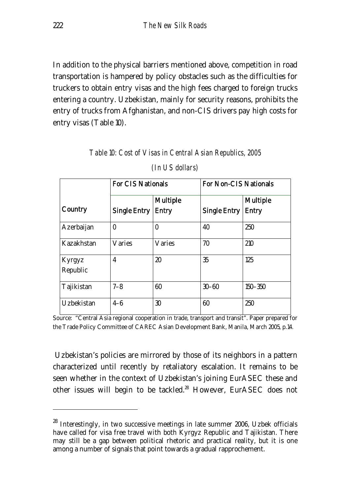In addition to the physical barriers mentioned above, competition in road transportation is hampered by policy obstacles such as the difficulties for truckers to obtain entry visas and the high fees charged to foreign trucks entering a country. Uzbekistan, mainly for security reasons, prohibits the entry of trucks from Afghanistan, and non-CIS drivers pay high costs for entry visas (Table 10).

### For CIS Nationals **For Non-CIS Nationals Country** Single Entry Multiple Entry Single Entry Multiple Entry Azerbaijan | 0 | 0 | 10 | 250 Kazakhstan Varies Varies 70 210 Kyrgyz Republic 4 20 35 125 Tajikistan 7–8 60 30–60 150–350 Uzbekistan 4–6 30 60 250

### *Table 10: Cost of Visas in Central Asian Republics, 2005*

Source: "Central Asia regional cooperation in trade, transport and transit". Paper prepared for the Trade Policy Committee of CAREC Asian Development Bank, Manila, March 2005, p.14.

 Uzbekistan's policies are mirrored by those of its neighbors in a pattern characterized until recently by retaliatory escalation. It remains to be seen whether in the context of Uzbekistan's joining EurASEC these and other issues will begin to be tackled.<sup>28</sup> However, EurASEC does not

<sup>&</sup>lt;sup>28</sup> Interestingly, in two successive meetings in late summer 2006, Uzbek officials have called for visa free travel with both Kyrgyz Republic and Tajikistan. There may still be a gap between political rhetoric and practical reality, but it is one among a number of signals that point towards a gradual rapprochement.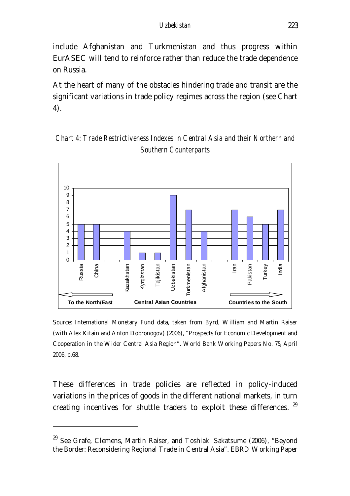include Afghanistan and Turkmenistan and thus progress within EurASEC will tend to reinforce rather than reduce the trade dependence on Russia.

At the heart of many of the obstacles hindering trade and transit are the significant variations in trade policy regimes across the region (see Chart 4).



*Chart 4: Trade Restrictiveness Indexes in Central Asia and their Northern and Southern Counterparts* 

Source: International Monetary Fund data, taken from Byrd, William and Martin Raiser (with Alex Kitain and Anton Dobronogov) (2006), "Prospects for Economic Development and Cooperation in the Wider Central Asia Region". World Bank Working Papers No. 75, April 2006, p.68.

These differences in trade policies are reflected in policy-induced variations in the prices of goods in the different national markets, in turn creating incentives for shuttle traders to exploit these differences.<sup>29</sup>

<sup>&</sup>lt;sup>29</sup> See Grafe, Clemens, Martin Raiser, and Toshiaki Sakatsume (2006), "Beyond the Border: Reconsidering Regional Trade in Central Asia". EBRD Working Paper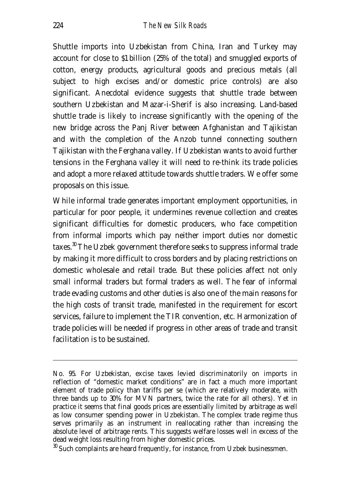Shuttle imports into Uzbekistan from China, Iran and Turkey may account for close to \$1 billion (25% of the total) and smuggled exports of cotton, energy products, agricultural goods and precious metals (all subject to high excises and/or domestic price controls) are also significant. Anecdotal evidence suggests that shuttle trade between southern Uzbekistan and Mazar-i-Sherif is also increasing. Land-based shuttle trade is likely to increase significantly with the opening of the new bridge across the Panj River between Afghanistan and Tajikistan and with the completion of the Anzob tunnel connecting southern Tajikistan with the Ferghana valley. If Uzbekistan wants to avoid further tensions in the Ferghana valley it will need to re-think its trade policies and adopt a more relaxed attitude towards shuttle traders. We offer some proposals on this issue.

While informal trade generates important employment opportunities, in particular for poor people, it undermines revenue collection and creates significant difficulties for domestic producers, who face competition from informal imports which pay neither import duties nor domestic taxes.<sup>30</sup> The Uzbek government therefore seeks to suppress informal trade by making it more difficult to cross borders and by placing restrictions on domestic wholesale and retail trade. But these policies affect not only small informal traders but formal traders as well. The fear of informal trade evading customs and other duties is also one of the main reasons for the high costs of transit trade, manifested in the requirement for escort services, failure to implement the TIR convention, etc. Harmonization of trade policies will be needed if progress in other areas of trade and transit facilitation is to be sustained.

-

No. 95. For Uzbekistan, excise taxes levied discriminatorily on imports in reflection of "domestic market conditions" are in fact a much more important element of trade policy than tariffs per se (which are relatively moderate, with three bands up to 30% for MVN partners, twice the rate for all others). Yet in practice it seems that final goods prices are essentially limited by arbitrage as well as low consumer spending power in Uzbekistan. The complex trade regime thus serves primarily as an instrument in reallocating rather than increasing the absolute level of arbitrage rents. This suggests welfare losses well in excess of the dead weight loss resulting from higher domestic prices.

<sup>&</sup>lt;sup>30</sup> Such complaints are heard frequently, for instance, from Uzbek businessmen.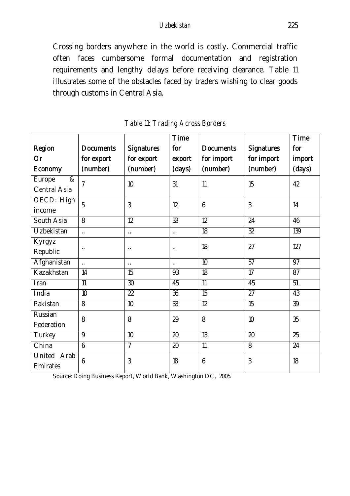Crossing borders anywhere in the world is costly. Commercial traffic often faces cumbersome formal documentation and registration requirements and lengthy delays before receiving clearance. Table 11 illustrates some of the obstacles faced by traders wishing to clear goods through customs in Central Asia.

|                     |                      |                           | <b>Time</b> |                  |                   | <b>Time</b> |
|---------------------|----------------------|---------------------------|-------------|------------------|-------------------|-------------|
| Region              | <b>Documents</b>     | <b>Signatures</b>         | for         | <b>Documents</b> | <b>Signatures</b> | for         |
| Or                  | for export           | for export                | export      | for import       | for import        | import      |
| <b>Economy</b>      | (number)             | (number)                  | (days)      | (number)         | (number)          | (days)      |
| Europe<br>$\&$      | $\overline{7}$       | 10                        | 31          | 11               | 15                | 42          |
| <b>Central Asia</b> |                      |                           |             |                  |                   |             |
| OECD: High          | $\overline{5}$       | 3                         | 12          | $6\phantom{1}6$  | 3                 | 14          |
| income              |                      |                           |             |                  |                   |             |
| South Asia          | 8                    | 12                        | 33          | 12               | 24                | 46          |
| Uzbekistan          | $\ddot{\phantom{a}}$ | $\ddot{\phantom{0}}\cdot$ | $\ddotsc$   | 18               | 32                | 139         |
| Kyrgyz              |                      |                           |             | 18               | 27                | 127         |
| Republic            | $\ddot{\phantom{0}}$ | $\ddot{\phantom{a}}$ .    | $\ddotsc$   |                  |                   |             |
| Afghanistan         | $\ddot{\phantom{a}}$ | $\ddot{\phantom{a}}$      | $\ddotsc$   | 10               | 57                | 97          |
| Kazakhstan          | 14                   | 15                        | 93          | 18               | 17                | 87          |
| Iran                | 11                   | 30                        | 45          | 11               | 45                | 51          |
| India               | 10                   | 22                        | 36          | 15               | 27                | 43          |
| Pakistan            | 8                    | 10                        | 33          | 12               | 15                | 39          |
| Russian             | 8                    | 8                         | 29          | 8                | 10                | 35          |
| Federation          |                      |                           |             |                  |                   |             |
| Turkey              | 9                    | 10                        | 20          | 13               | 20                | 25          |
| China               | $6\phantom{1}$       | $\overline{7}$            | 20          | 11               | 8                 | 24          |
| United Arab         | $\boldsymbol{6}$     | 3                         | 18          | $\boldsymbol{6}$ | 3                 | 18          |
| <b>Emirates</b>     |                      |                           |             |                  |                   |             |

*Table 11: Trading Across Borders*

Source: Doing Business Report, World Bank, Washington DC, 2005.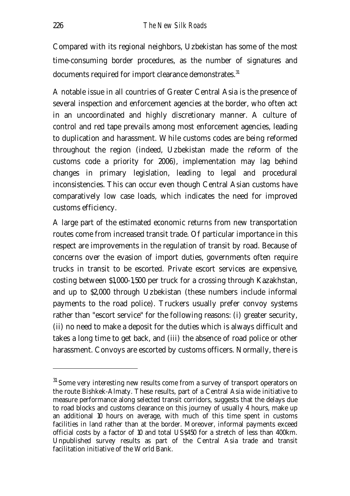Compared with its regional neighbors, Uzbekistan has some of the most time-consuming border procedures, as the number of signatures and documents required for import clearance demonstrates.<sup>31</sup>

A notable issue in all countries of Greater Central Asia is the presence of several inspection and enforcement agencies at the border, who often act in an uncoordinated and highly discretionary manner. A culture of control and red tape prevails among most enforcement agencies, leading to duplication and harassment. While customs codes are being reformed throughout the region (indeed, Uzbekistan made the reform of the customs code a priority for 2006), implementation may lag behind changes in primary legislation, leading to legal and procedural inconsistencies. This can occur even though Central Asian customs have comparatively low case loads, which indicates the need for improved customs efficiency.

A large part of the estimated economic returns from new transportation routes come from increased transit trade. Of particular importance in this respect are improvements in the regulation of transit by road. Because of concerns over the evasion of import duties, governments often require trucks in transit to be escorted. Private escort services are expensive, costing between \$1,000-1,500 per truck for a crossing through Kazakhstan, and up to \$2,000 through Uzbekistan (these numbers include informal payments to the road police). Truckers usually prefer convoy systems rather than "escort service" for the following reasons: (i) greater security, (ii) no need to make a deposit for the duties which is always difficult and takes a long time to get back, and (iii) the absence of road police or other harassment. Convoys are escorted by customs officers. Normally, there is

<sup>&</sup>lt;sup>31</sup> Some very interesting new results come from a survey of transport operators on the route Bishkek-Almaty. These results, part of a Central Asia wide initiative to measure performance along selected transit corridors, suggests that the delays due to road blocks and customs clearance on this journey of usually 4 hours, make up an additional 10 hours on average, with much of this time spent in customs facilities in land rather than at the border. Moreover, informal payments exceed official costs by a factor of 10 and total US\$450 for a stretch of less than 400km. Unpublished survey results as part of the Central Asia trade and transit facilitation initiative of the World Bank.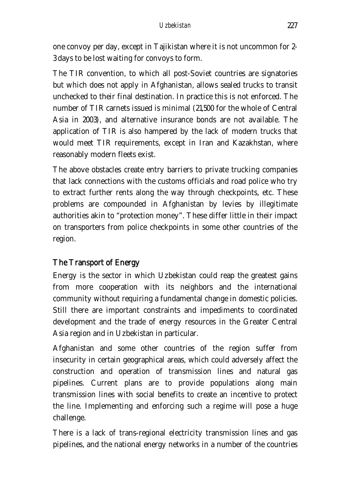one convoy per day, except in Tajikistan where it is not uncommon for 2- 3 days to be lost waiting for convoys to form.

The TIR convention, to which all post-Soviet countries are signatories but which does not apply in Afghanistan, allows sealed trucks to transit unchecked to their final destination. In practice this is not enforced. The number of TIR carnets issued is minimal (21,500 for the whole of Central Asia in 2003), and alternative insurance bonds are not available. The application of TIR is also hampered by the lack of modern trucks that would meet TIR requirements, except in Iran and Kazakhstan, where reasonably modern fleets exist.

The above obstacles create entry barriers to private trucking companies that lack connections with the customs officials and road police who try to extract further rents along the way through checkpoints, etc. These problems are compounded in Afghanistan by levies by illegitimate authorities akin to "protection money". These differ little in their impact on transporters from police checkpoints in some other countries of the region.

# The Transport of Energy

Energy is the sector in which Uzbekistan could reap the greatest gains from more cooperation with its neighbors and the international community without requiring a fundamental change in domestic policies. Still there are important constraints and impediments to coordinated development and the trade of energy resources in the Greater Central Asia region and in Uzbekistan in particular.

Afghanistan and some other countries of the region suffer from insecurity in certain geographical areas, which could adversely affect the construction and operation of transmission lines and natural gas pipelines. Current plans are to provide populations along main transmission lines with social benefits to create an incentive to protect the line. Implementing and enforcing such a regime will pose a huge challenge.

There is a lack of trans-regional electricity transmission lines and gas pipelines, and the national energy networks in a number of the countries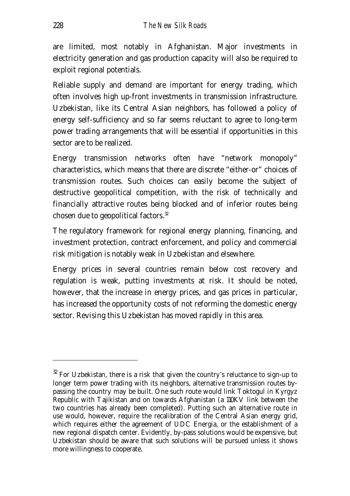are limited, most notably in Afghanistan. Major investments in electricity generation and gas production capacity will also be required to exploit regional potentials.

Reliable supply and demand are important for energy trading, which often involves high up-front investments in transmission infrastructure. Uzbekistan, like its Central Asian neighbors, has followed a policy of energy self-sufficiency and so far seems reluctant to agree to long-term power trading arrangements that will be essential if opportunities in this sector are to be realized.

Energy transmission networks often have "network monopoly" characteristics, which means that there are discrete "either-or" choices of transmission routes. Such choices can easily become the subject of destructive geopolitical competition, with the risk of technically and financially attractive routes being blocked and of inferior routes being chosen due to geopolitical factors. $32$ 

The regulatory framework for regional energy planning, financing, and investment protection, contract enforcement, and policy and commercial risk mitigation is notably weak in Uzbekistan and elsewhere.

Energy prices in several countries remain below cost recovery and regulation is weak, putting investments at risk. It should be noted, however, that the increase in energy prices, and gas prices in particular, has increased the opportunity costs of not reforming the domestic energy sector. Revising this Uzbekistan has moved rapidly in this area.

<sup>32</sup> For Uzbekistan, there is a risk that given the country's reluctance to sign-up to longer term power trading with its neighbors, alternative transmission routes bypassing the country may be built. One such route would link Toktogul in Kyrgyz Republic with Tajikistan and on towards Afghanistan (a 110KV link between the two countries has already been completed). Putting such an alternative route in use would, however, require the recalibration of the Central Asian energy grid, which requires either the agreement of UDC Energia, or the establishment of a new regional dispatch center. Evidently, by-pass solutions would be expensive, but Uzbekistan should be aware that such solutions will be pursued unless it shows more willingness to cooperate.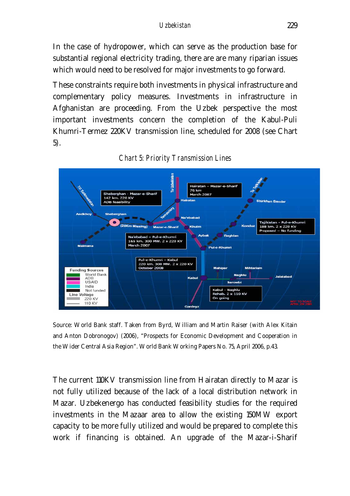In the case of hydropower, which can serve as the production base for substantial regional electricity trading, there are are many riparian issues which would need to be resolved for major investments to go forward.

These constraints require both investments in physical infrastructure and complementary policy measures. Investments in infrastructure in Afghanistan are proceeding. From the Uzbek perspective the most important investments concern the completion of the Kabul-Puli Khumri-Termez 220KV transmission line, scheduled for 2008 (see Chart 5).



*Chart 5: Priority Transmission Lines* 

Source: World Bank staff. Taken from Byrd, William and Martin Raiser (with Alex Kitain and Anton Dobronogov) (2006), "Prospects for Economic Development and Cooperation in the Wider Central Asia Region". World Bank Working Papers No. 75, April 2006, p.43.

The current 110KV transmission line from Hairatan directly to Mazar is not fully utilized because of the lack of a local distribution network in Mazar. Uzbekenergo has conducted feasibility studies for the required investments in the Mazaar area to allow the existing 150MW export capacity to be more fully utilized and would be prepared to complete this work if financing is obtained. An upgrade of the Mazar-i-Sharif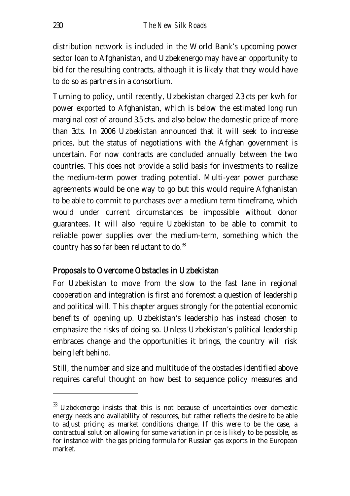distribution network is included in the World Bank's upcoming power sector loan to Afghanistan, and Uzbekenergo may have an opportunity to bid for the resulting contracts, although it is likely that they would have to do so as partners in a consortium.

Turning to policy, until recently, Uzbekistan charged 2.3 cts per kwh for power exported to Afghanistan, which is below the estimated long run marginal cost of around 3.5 cts. and also below the domestic price of more than 3cts. In 2006 Uzbekistan announced that it will seek to increase prices, but the status of negotiations with the Afghan government is uncertain. For now contracts are concluded annually between the two countries. This does not provide a solid basis for investments to realize the medium-term power trading potential. Multi-year power purchase agreements would be one way to go but this would require Afghanistan to be able to commit to purchases over a medium term timeframe, which would under current circumstances be impossible without donor guarantees. It will also require Uzbekistan to be able to commit to reliable power supplies over the medium-term, something which the country has so far been reluctant to do.<sup>33</sup>

### Proposals to Overcome Obstacles in Uzbekistan

For Uzbekistan to move from the slow to the fast lane in regional cooperation and integration is first and foremost a question of leadership and political will. This chapter argues strongly for the potential economic benefits of opening up. Uzbekistan's leadership has instead chosen to emphasize the risks of doing so. Unless Uzbekistan's political leadership embraces change and the opportunities it brings, the country will risk being left behind.

Still, the number and size and multitude of the obstacles identified above requires careful thought on how best to sequence policy measures and

<sup>33</sup> Uzbekenergo insists that this is not because of uncertainties over domestic energy needs and availability of resources, but rather reflects the desire to be able to adjust pricing as market conditions change. If this were to be the case, a contractual solution allowing for some variation in price is likely to be possible, as for instance with the gas pricing formula for Russian gas exports in the European market.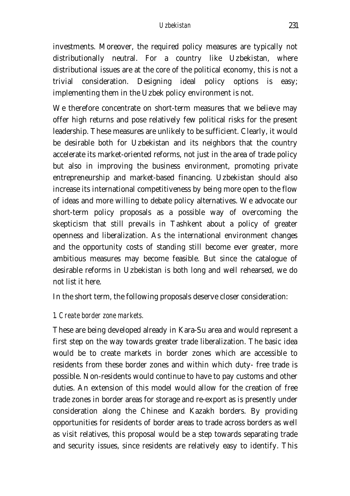investments. Moreover, the required policy measures are typically not distributionally neutral. For a country like Uzbekistan, where distributional issues are at the core of the political economy, this is not a trivial consideration. Designing ideal policy options is easy; implementing them in the Uzbek policy environment is not.

We therefore concentrate on short-term measures that we believe may offer high returns and pose relatively few political risks for the present leadership. These measures are unlikely to be sufficient. Clearly, it would be desirable both for Uzbekistan and its neighbors that the country accelerate its market-oriented reforms, not just in the area of trade policy but also in improving the business environment, promoting private entrepreneurship and market-based financing. Uzbekistan should also increase its international competitiveness by being more open to the flow of ideas and more willing to debate policy alternatives. We advocate our short-term policy proposals as a possible way of overcoming the skepticism that still prevails in Tashkent about a policy of greater openness and liberalization. As the international environment changes and the opportunity costs of standing still become ever greater, more ambitious measures may become feasible. But since the catalogue of desirable reforms in Uzbekistan is both long and well rehearsed, we do not list it here.

In the short term, the following proposals deserve closer consideration:

### *1. Create border zone markets.*

These are being developed already in Kara-Su area and would represent a first step on the way towards greater trade liberalization. The basic idea would be to create markets in border zones which are accessible to residents from these border zones and within which duty- free trade is possible. Non-residents would continue to have to pay customs and other duties. An extension of this model would allow for the creation of free trade zones in border areas for storage and re-export as is presently under consideration along the Chinese and Kazakh borders. By providing opportunities for residents of border areas to trade across borders as well as visit relatives, this proposal would be a step towards separating trade and security issues, since residents are relatively easy to identify. This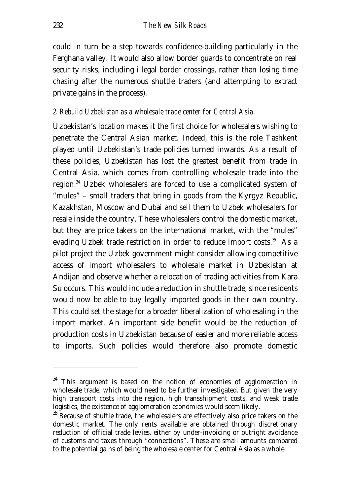could in turn be a step towards confidence-building particularly in the Ferghana valley. It would also allow border guards to concentrate on real security risks, including illegal border crossings, rather than losing time chasing after the numerous shuttle traders (and attempting to extract private gains in the process).

### *2. Rebuild Uzbekistan as a wholesale trade center for Central Asia.*

Uzbekistan's location makes it the first choice for wholesalers wishing to penetrate the Central Asian market. Indeed, this is the role Tashkent played until Uzbekistan's trade policies turned inwards. As a result of these policies, Uzbekistan has lost the greatest benefit from trade in Central Asia, which comes from controlling wholesale trade into the region.34 Uzbek wholesalers are forced to use a complicated system of "mules" – small traders that bring in goods from the Kyrgyz Republic, Kazakhstan, Moscow and Dubai and sell them to Uzbek wholesalers for resale inside the country. These wholesalers control the domestic market, but they are price takers on the international market, with the "mules" evading Uzbek trade restriction in order to reduce import costs.<sup>35</sup> As a pilot project the Uzbek government might consider allowing competitive access of import wholesalers to wholesale market in Uzbekistan at Andijan and observe whether a relocation of trading activities from Kara Su occurs. This would include a reduction in shuttle trade, since residents would now be able to buy legally imported goods in their own country. This could set the stage for a broader liberalization of wholesaling in the import market. An important side benefit would be the reduction of production costs in Uzbekistan because of easier and more reliable access to imports. Such policies would therefore also promote domestic

<sup>&</sup>lt;sup>34</sup> This argument is based on the notion of economies of agglomeration in wholesale trade, which would need to be further investigated. But given the very high transport costs into the region, high transshipment costs, and weak trade logistics, the existence of agglomeration economies would seem likely.

 $35$  Because of shuttle trade, the wholesalers are effectively also price takers on the domestic market. The only rents available are obtained through discretionary reduction of official trade levies, either by under-invoicing or outright avoidance of customs and taxes through "connections". These are small amounts compared to the potential gains of being the wholesale center for Central Asia as a whole.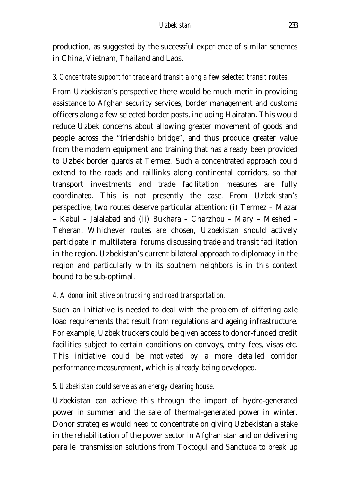production, as suggested by the successful experience of similar schemes in China, Vietnam, Thailand and Laos.

### *3. Concentrate support for trade and transit along a few selected transit routes.*

From Uzbekistan's perspective there would be much merit in providing assistance to Afghan security services, border management and customs officers along a few selected border posts, including Hairatan. This would reduce Uzbek concerns about allowing greater movement of goods and people across the "friendship bridge", and thus produce greater value from the modern equipment and training that has already been provided to Uzbek border guards at Termez. Such a concentrated approach could extend to the roads and raillinks along continental corridors, so that transport investments and trade facilitation measures are fully coordinated. This is not presently the case. From Uzbekistan's perspective, two routes deserve particular attention: (i) Termez – Mazar – Kabul – Jalalabad and (ii) Bukhara – Charzhou – Mary – Meshed – Teheran. Whichever routes are chosen, Uzbekistan should actively participate in multilateral forums discussing trade and transit facilitation in the region. Uzbekistan's current bilateral approach to diplomacy in the region and particularly with its southern neighbors is in this context bound to be sub-optimal.

### *4. A donor initiative on trucking and road transportation.*

Such an initiative is needed to deal with the problem of differing axle load requirements that result from regulations and ageing infrastructure. For example, Uzbek truckers could be given access to donor-funded credit facilities subject to certain conditions on convoys, entry fees, visas etc. This initiative could be motivated by a more detailed corridor performance measurement, which is already being developed.

### *5. Uzbekistan could serve as an energy clearing house.*

Uzbekistan can achieve this through the import of hydro-generated power in summer and the sale of thermal-generated power in winter. Donor strategies would need to concentrate on giving Uzbekistan a stake in the rehabilitation of the power sector in Afghanistan and on delivering parallel transmission solutions from Toktogul and Sanctuda to break up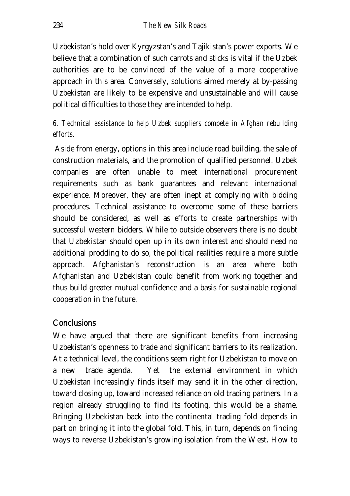Uzbekistan's hold over Kyrgyzstan's and Tajikistan's power exports. We believe that a combination of such carrots and sticks is vital if the Uzbek authorities are to be convinced of the value of a more cooperative approach in this area. Conversely, solutions aimed merely at by-passing Uzbekistan are likely to be expensive and unsustainable and will cause political difficulties to those they are intended to help.

# *6. Technical assistance to help Uzbek suppliers compete in Afghan rebuilding efforts.*

 Aside from energy, options in this area include road building, the sale of construction materials, and the promotion of qualified personnel. Uzbek companies are often unable to meet international procurement requirements such as bank guarantees and relevant international experience. Moreover, they are often inept at complying with bidding procedures. Technical assistance to overcome some of these barriers should be considered, as well as efforts to create partnerships with successful western bidders. While to outside observers there is no doubt that Uzbekistan should open up in its own interest and should need no additional prodding to do so, the political realities require a more subtle approach. Afghanistan's reconstruction is an area where both Afghanistan and Uzbekistan could benefit from working together and thus build greater mutual confidence and a basis for sustainable regional cooperation in the future.

# **Conclusions**

We have argued that there are significant benefits from increasing Uzbekistan's openness to trade and significant barriers to its realization. At a technical level, the conditions seem right for Uzbekistan to move on a new trade agenda. Yet the external environment in which Uzbekistan increasingly finds itself may send it in the other direction, toward closing up, toward increased reliance on old trading partners. In a region already struggling to find its footing, this would be a shame. Bringing Uzbekistan back into the continental trading fold depends in part on bringing it into the global fold. This, in turn, depends on finding ways to reverse Uzbekistan's growing isolation from the West. How to